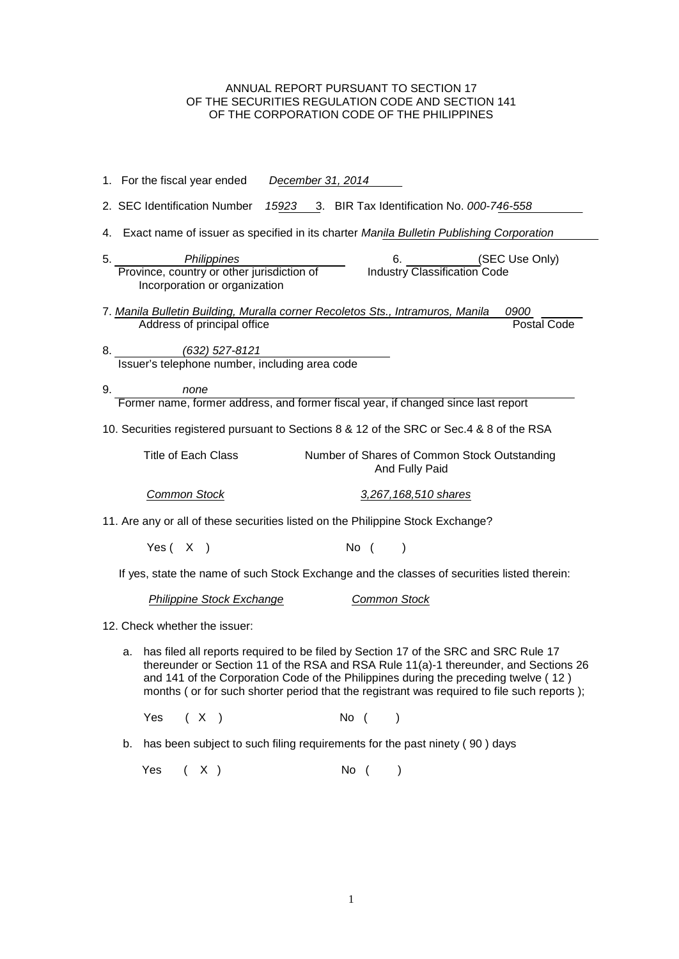# ANNUAL REPORT PURSUANT TO SECTION 17 OF THE SECURITIES REGULATION CODE AND SECTION 141 OF THE CORPORATION CODE OF THE PHILIPPINES

|    |                                                                                                                                                                                                                                                                                                                                                                        | 1. For the fiscal year ended  |      |     |                                                                                            | December 31, 2014 |  |      |                     |               |                                                                                   |                                                                                             |
|----|------------------------------------------------------------------------------------------------------------------------------------------------------------------------------------------------------------------------------------------------------------------------------------------------------------------------------------------------------------------------|-------------------------------|------|-----|--------------------------------------------------------------------------------------------|-------------------|--|------|---------------------|---------------|-----------------------------------------------------------------------------------|---------------------------------------------------------------------------------------------|
|    |                                                                                                                                                                                                                                                                                                                                                                        |                               |      |     |                                                                                            |                   |  |      |                     |               | 2. SEC Identification Number 15923 3. BIR Tax Identification No. 000-746-558      |                                                                                             |
|    |                                                                                                                                                                                                                                                                                                                                                                        |                               |      |     |                                                                                            |                   |  |      |                     |               |                                                                                   | 4. Exact name of issuer as specified in its charter Manila Bulletin Publishing Corporation  |
| 5. |                                                                                                                                                                                                                                                                                                                                                                        |                               |      |     | Philippines<br>Province, country or other jurisdiction of<br>Incorporation or organization |                   |  |      |                     | 6.            | <b>Industry Classification Code</b>                                               | (SEC Use Only)                                                                              |
|    |                                                                                                                                                                                                                                                                                                                                                                        |                               |      |     | Address of principal office                                                                |                   |  |      |                     |               | 7. Manila Bulletin Building, Muralla corner Recoletos Sts., Intramuros, Manila    | 0900<br><b>Postal Code</b>                                                                  |
|    | 8.                                                                                                                                                                                                                                                                                                                                                                     |                               |      |     | (632) 527-8121                                                                             |                   |  |      |                     |               |                                                                                   |                                                                                             |
|    |                                                                                                                                                                                                                                                                                                                                                                        |                               |      |     | Issuer's telephone number, including area code                                             |                   |  |      |                     |               |                                                                                   |                                                                                             |
| 9. |                                                                                                                                                                                                                                                                                                                                                                        |                               | none |     |                                                                                            |                   |  |      |                     |               | Former name, former address, and former fiscal year, if changed since last report |                                                                                             |
|    |                                                                                                                                                                                                                                                                                                                                                                        |                               |      |     |                                                                                            |                   |  |      |                     |               |                                                                                   |                                                                                             |
|    |                                                                                                                                                                                                                                                                                                                                                                        |                               |      |     |                                                                                            |                   |  |      |                     |               |                                                                                   | 10. Securities registered pursuant to Sections 8 & 12 of the SRC or Sec.4 & 8 of the RSA    |
|    |                                                                                                                                                                                                                                                                                                                                                                        | <b>Title of Each Class</b>    |      |     |                                                                                            |                   |  |      |                     |               | And Fully Paid                                                                    | Number of Shares of Common Stock Outstanding                                                |
|    |                                                                                                                                                                                                                                                                                                                                                                        | <b>Common Stock</b>           |      |     |                                                                                            |                   |  |      |                     |               | 3,267,168,510 shares                                                              |                                                                                             |
|    |                                                                                                                                                                                                                                                                                                                                                                        |                               |      |     |                                                                                            |                   |  |      |                     |               | 11. Are any or all of these securities listed on the Philippine Stock Exchange?   |                                                                                             |
|    |                                                                                                                                                                                                                                                                                                                                                                        | Yes $(X)$                     |      |     |                                                                                            |                   |  |      | No (                | $\lambda$     |                                                                                   |                                                                                             |
|    |                                                                                                                                                                                                                                                                                                                                                                        |                               |      |     |                                                                                            |                   |  |      |                     |               |                                                                                   | If yes, state the name of such Stock Exchange and the classes of securities listed therein: |
|    |                                                                                                                                                                                                                                                                                                                                                                        |                               |      |     | <b>Philippine Stock Exchange</b>                                                           |                   |  |      | <b>Common Stock</b> |               |                                                                                   |                                                                                             |
|    |                                                                                                                                                                                                                                                                                                                                                                        | 12. Check whether the issuer: |      |     |                                                                                            |                   |  |      |                     |               |                                                                                   |                                                                                             |
|    | has filed all reports required to be filed by Section 17 of the SRC and SRC Rule 17<br>а.<br>thereunder or Section 11 of the RSA and RSA Rule 11(a)-1 thereunder, and Sections 26<br>and 141 of the Corporation Code of the Philippines during the preceding twelve (12)<br>months (or for such shorter period that the registrant was required to file such reports); |                               |      |     |                                                                                            |                   |  |      |                     |               |                                                                                   |                                                                                             |
|    |                                                                                                                                                                                                                                                                                                                                                                        | Yes                           |      | (X) |                                                                                            |                   |  | No ( |                     | $\lambda$     |                                                                                   |                                                                                             |
|    | b.                                                                                                                                                                                                                                                                                                                                                                     |                               |      |     |                                                                                            |                   |  |      |                     |               | has been subject to such filing requirements for the past ninety (90) days        |                                                                                             |
|    |                                                                                                                                                                                                                                                                                                                                                                        | Yes                           |      | (X) |                                                                                            |                   |  | No ( |                     | $\mathcal{E}$ |                                                                                   |                                                                                             |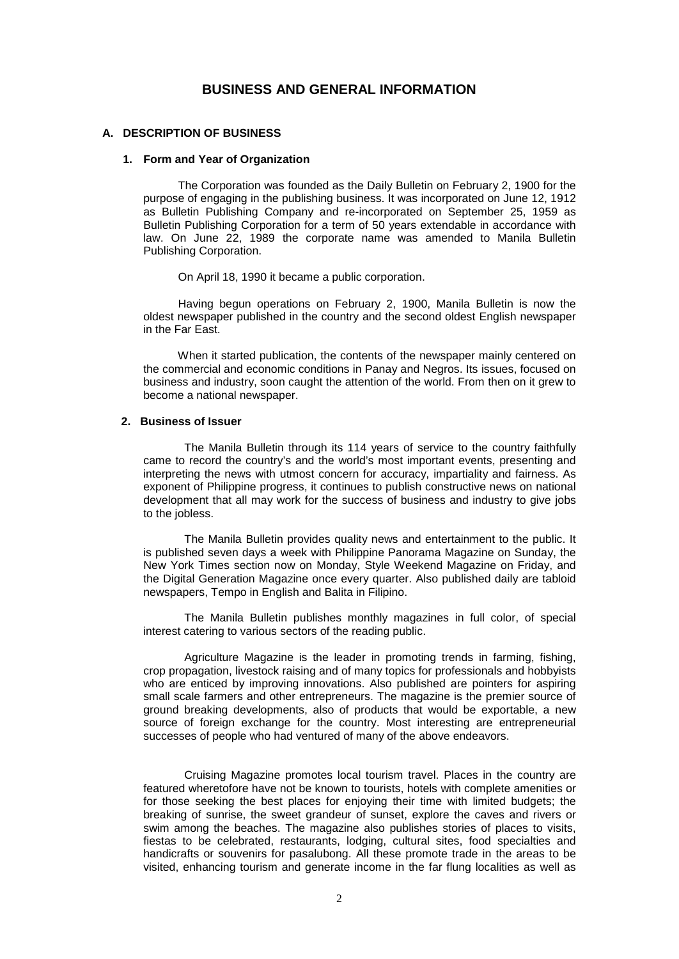# **BUSINESS AND GENERAL INFORMATION**

# **A. DESCRIPTION OF BUSINESS**

# **1. Form and Year of Organization**

 The Corporation was founded as the Daily Bulletin on February 2, 1900 for the purpose of engaging in the publishing business. It was incorporated on June 12, 1912 as Bulletin Publishing Company and re-incorporated on September 25, 1959 as Bulletin Publishing Corporation for a term of 50 years extendable in accordance with law. On June 22, 1989 the corporate name was amended to Manila Bulletin Publishing Corporation.

On April 18, 1990 it became a public corporation.

 Having begun operations on February 2, 1900, Manila Bulletin is now the oldest newspaper published in the country and the second oldest English newspaper in the Far East.

 When it started publication, the contents of the newspaper mainly centered on the commercial and economic conditions in Panay and Negros. Its issues, focused on business and industry, soon caught the attention of the world. From then on it grew to become a national newspaper.

# **2. Business of Issuer**

The Manila Bulletin through its 114 years of service to the country faithfully came to record the country's and the world's most important events, presenting and interpreting the news with utmost concern for accuracy, impartiality and fairness. As exponent of Philippine progress, it continues to publish constructive news on national development that all may work for the success of business and industry to give jobs to the jobless.

The Manila Bulletin provides quality news and entertainment to the public. It is published seven days a week with Philippine Panorama Magazine on Sunday, the New York Times section now on Monday, Style Weekend Magazine on Friday, and the Digital Generation Magazine once every quarter. Also published daily are tabloid newspapers, Tempo in English and Balita in Filipino.

The Manila Bulletin publishes monthly magazines in full color, of special interest catering to various sectors of the reading public.

Agriculture Magazine is the leader in promoting trends in farming, fishing, crop propagation, livestock raising and of many topics for professionals and hobbyists who are enticed by improving innovations. Also published are pointers for aspiring small scale farmers and other entrepreneurs. The magazine is the premier source of ground breaking developments, also of products that would be exportable, a new source of foreign exchange for the country. Most interesting are entrepreneurial successes of people who had ventured of many of the above endeavors.

Cruising Magazine promotes local tourism travel. Places in the country are featured wheretofore have not be known to tourists, hotels with complete amenities or for those seeking the best places for enjoying their time with limited budgets; the breaking of sunrise, the sweet grandeur of sunset, explore the caves and rivers or swim among the beaches. The magazine also publishes stories of places to visits, fiestas to be celebrated, restaurants, lodging, cultural sites, food specialties and handicrafts or souvenirs for pasalubong. All these promote trade in the areas to be visited, enhancing tourism and generate income in the far flung localities as well as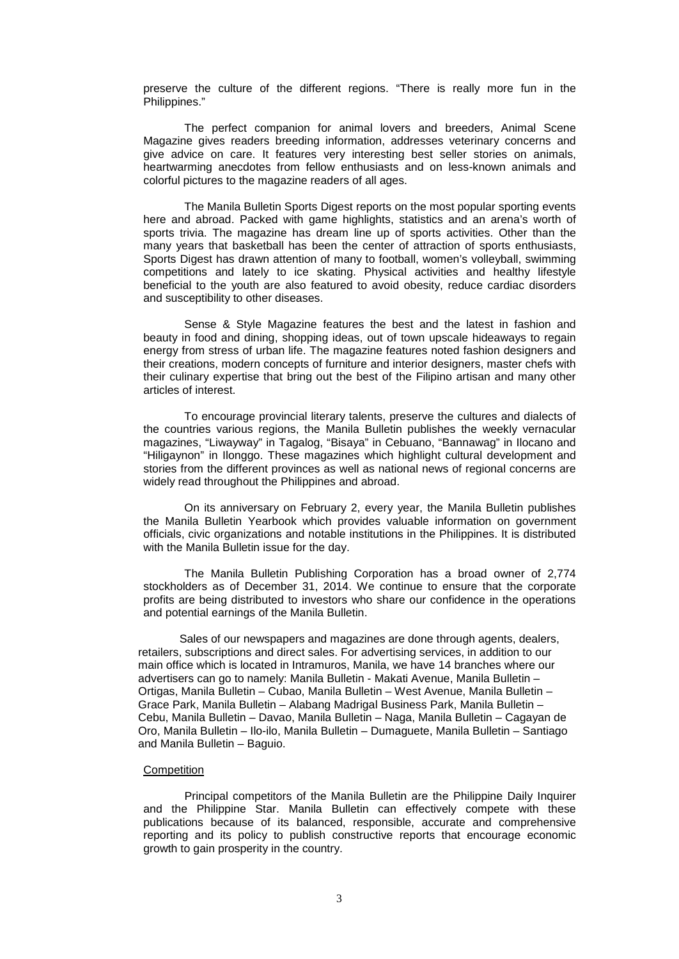preserve the culture of the different regions. "There is really more fun in the Philippines."

The perfect companion for animal lovers and breeders, Animal Scene Magazine gives readers breeding information, addresses veterinary concerns and give advice on care. It features very interesting best seller stories on animals, heartwarming anecdotes from fellow enthusiasts and on less-known animals and colorful pictures to the magazine readers of all ages.

The Manila Bulletin Sports Digest reports on the most popular sporting events here and abroad. Packed with game highlights, statistics and an arena's worth of sports trivia. The magazine has dream line up of sports activities. Other than the many years that basketball has been the center of attraction of sports enthusiasts, Sports Digest has drawn attention of many to football, women's volleyball, swimming competitions and lately to ice skating. Physical activities and healthy lifestyle beneficial to the youth are also featured to avoid obesity, reduce cardiac disorders and susceptibility to other diseases.

Sense & Style Magazine features the best and the latest in fashion and beauty in food and dining, shopping ideas, out of town upscale hideaways to regain energy from stress of urban life. The magazine features noted fashion designers and their creations, modern concepts of furniture and interior designers, master chefs with their culinary expertise that bring out the best of the Filipino artisan and many other articles of interest.

To encourage provincial literary talents, preserve the cultures and dialects of the countries various regions, the Manila Bulletin publishes the weekly vernacular magazines, "Liwayway" in Tagalog, "Bisaya" in Cebuano, "Bannawag" in Ilocano and "Hiligaynon" in Ilonggo. These magazines which highlight cultural development and stories from the different provinces as well as national news of regional concerns are widely read throughout the Philippines and abroad.

On its anniversary on February 2, every year, the Manila Bulletin publishes the Manila Bulletin Yearbook which provides valuable information on government officials, civic organizations and notable institutions in the Philippines. It is distributed with the Manila Bulletin issue for the day.

The Manila Bulletin Publishing Corporation has a broad owner of 2,774 stockholders as of December 31, 2014. We continue to ensure that the corporate profits are being distributed to investors who share our confidence in the operations and potential earnings of the Manila Bulletin.

 Sales of our newspapers and magazines are done through agents, dealers, retailers, subscriptions and direct sales. For advertising services, in addition to our main office which is located in Intramuros, Manila, we have 14 branches where our advertisers can go to namely: Manila Bulletin - Makati Avenue, Manila Bulletin – Ortigas, Manila Bulletin – Cubao, Manila Bulletin – West Avenue, Manila Bulletin – Grace Park, Manila Bulletin – Alabang Madrigal Business Park, Manila Bulletin – Cebu, Manila Bulletin – Davao, Manila Bulletin – Naga, Manila Bulletin – Cagayan de Oro, Manila Bulletin – Ilo-ilo, Manila Bulletin – Dumaguete, Manila Bulletin – Santiago and Manila Bulletin – Baguio.

#### **Competition**

 Principal competitors of the Manila Bulletin are the Philippine Daily Inquirer and the Philippine Star. Manila Bulletin can effectively compete with these publications because of its balanced, responsible, accurate and comprehensive reporting and its policy to publish constructive reports that encourage economic growth to gain prosperity in the country.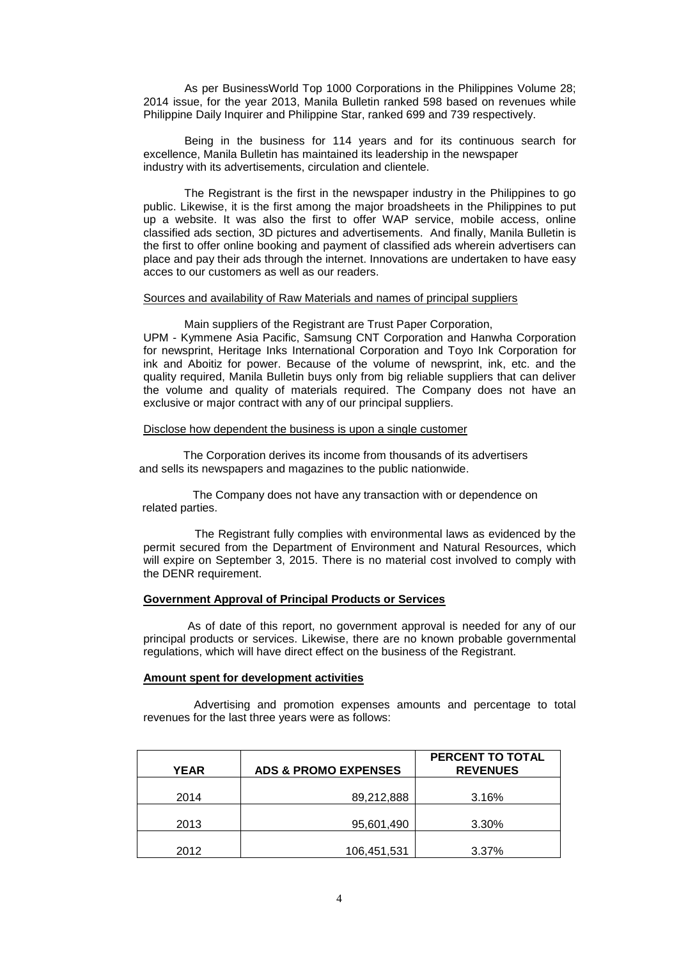As per BusinessWorld Top 1000 Corporations in the Philippines Volume 28; 2014 issue, for the year 2013, Manila Bulletin ranked 598 based on revenues while Philippine Daily Inquirer and Philippine Star, ranked 699 and 739 respectively.

 Being in the business for 114 years and for its continuous search for excellence, Manila Bulletin has maintained its leadership in the newspaper industry with its advertisements, circulation and clientele.

 The Registrant is the first in the newspaper industry in the Philippines to go public. Likewise, it is the first among the major broadsheets in the Philippines to put up a website. It was also the first to offer WAP service, mobile access, online classified ads section, 3D pictures and advertisements. And finally, Manila Bulletin is the first to offer online booking and payment of classified ads wherein advertisers can place and pay their ads through the internet. Innovations are undertaken to have easy acces to our customers as well as our readers.

## Sources and availability of Raw Materials and names of principal suppliers

 Main suppliers of the Registrant are Trust Paper Corporation, UPM - Kymmene Asia Pacific, Samsung CNT Corporation and Hanwha Corporation for newsprint, Heritage Inks International Corporation and Toyo Ink Corporation for ink and Aboitiz for power. Because of the volume of newsprint, ink, etc. and the quality required, Manila Bulletin buys only from big reliable suppliers that can deliver the volume and quality of materials required. The Company does not have an exclusive or major contract with any of our principal suppliers.

## Disclose how dependent the business is upon a single customer

 The Corporation derives its income from thousands of its advertisers and sells its newspapers and magazines to the public nationwide.

The Company does not have any transaction with or dependence on related parties.

The Registrant fully complies with environmental laws as evidenced by the permit secured from the Department of Environment and Natural Resources, which will expire on September 3, 2015. There is no material cost involved to comply with the DENR requirement.

## **Government Approval of Principal Products or Services**

 As of date of this report, no government approval is needed for any of our principal products or services. Likewise, there are no known probable governmental regulations, which will have direct effect on the business of the Registrant.

## **Amount spent for development activities**

 Advertising and promotion expenses amounts and percentage to total revenues for the last three years were as follows:

| <b>YEAR</b> | <b>ADS &amp; PROMO EXPENSES</b> | <b>PERCENT TO TOTAL</b><br><b>REVENUES</b> |
|-------------|---------------------------------|--------------------------------------------|
| 2014        | 89,212,888                      | 3.16%                                      |
| 2013        | 95,601,490                      | 3.30%                                      |
| 2012        | 106,451,531                     | 3.37%                                      |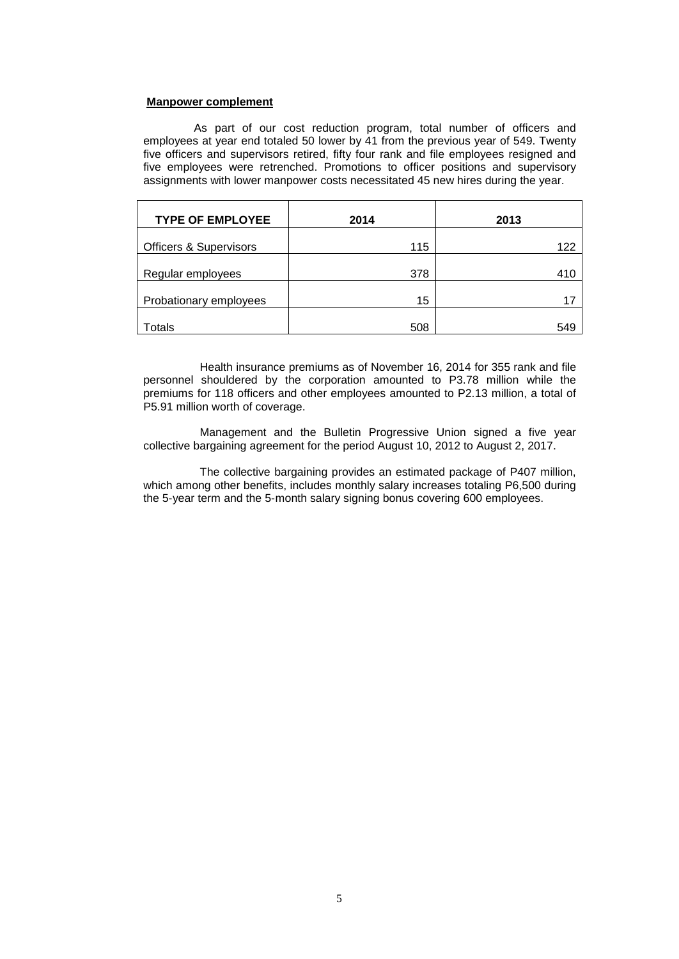#### **Manpower complement**

 As part of our cost reduction program, total number of officers and employees at year end totaled 50 lower by 41 from the previous year of 549. Twenty five officers and supervisors retired, fifty four rank and file employees resigned and five employees were retrenched. Promotions to officer positions and supervisory assignments with lower manpower costs necessitated 45 new hires during the year.

| <b>TYPE OF EMPLOYEE</b>           | 2014 | 2013 |
|-----------------------------------|------|------|
| <b>Officers &amp; Supervisors</b> | 115  | 122  |
| Regular employees                 | 378  | 410  |
| Probationary employees            | 15   | 17   |
| Totals                            | 508  | 549  |

Health insurance premiums as of November 16, 2014 for 355 rank and file personnel shouldered by the corporation amounted to P3.78 million while the premiums for 118 officers and other employees amounted to P2.13 million, a total of P5.91 million worth of coverage.

Management and the Bulletin Progressive Union signed a five year collective bargaining agreement for the period August 10, 2012 to August 2, 2017.

The collective bargaining provides an estimated package of P407 million, which among other benefits, includes monthly salary increases totaling P6,500 during the 5-year term and the 5-month salary signing bonus covering 600 employees.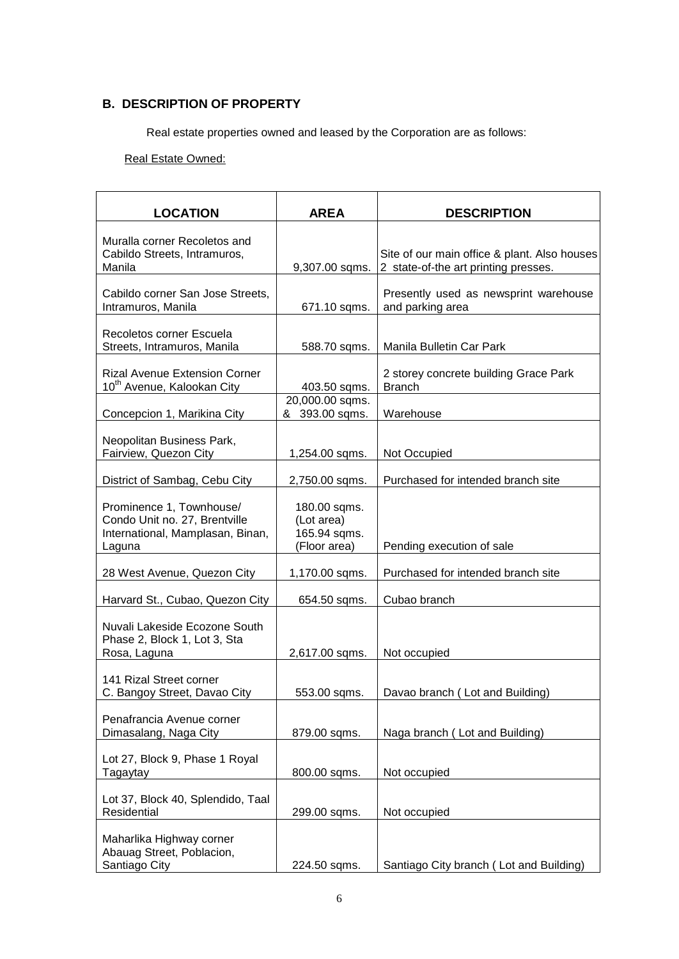# **B. DESCRIPTION OF PROPERTY**

Real estate properties owned and leased by the Corporation are as follows:

# Real Estate Owned:

| <b>LOCATION</b>                                                                                         | <b>AREA</b>                                                | <b>DESCRIPTION</b>                                                                   |
|---------------------------------------------------------------------------------------------------------|------------------------------------------------------------|--------------------------------------------------------------------------------------|
|                                                                                                         |                                                            |                                                                                      |
| Muralla corner Recoletos and<br>Cabildo Streets, Intramuros,<br>Manila                                  | 9,307.00 sqms.                                             | Site of our main office & plant. Also houses<br>2 state-of-the art printing presses. |
| Cabildo corner San Jose Streets,<br>Intramuros, Manila                                                  | 671.10 sqms.                                               | Presently used as newsprint warehouse<br>and parking area                            |
| Recoletos corner Escuela<br>Streets, Intramuros, Manila                                                 | 588.70 sqms.                                               | Manila Bulletin Car Park                                                             |
| <b>Rizal Avenue Extension Corner</b><br>10 <sup>th</sup> Avenue, Kalookan City                          | 403.50 sqms.                                               | 2 storey concrete building Grace Park<br><b>Branch</b>                               |
| Concepcion 1, Marikina City                                                                             | 20,000.00 sqms.<br>& 393.00 sqms.                          | Warehouse                                                                            |
| Neopolitan Business Park,<br>Fairview, Quezon City                                                      | 1,254.00 sqms.                                             | Not Occupied                                                                         |
| District of Sambag, Cebu City                                                                           | 2,750.00 sqms.                                             | Purchased for intended branch site                                                   |
| Prominence 1, Townhouse/<br>Condo Unit no. 27, Brentville<br>International, Mamplasan, Binan,<br>Laguna | 180.00 sqms.<br>(Lot area)<br>165.94 sqms.<br>(Floor area) | Pending execution of sale                                                            |
| 28 West Avenue, Quezon City                                                                             | 1,170.00 sqms.                                             | Purchased for intended branch site                                                   |
| Harvard St., Cubao, Quezon City                                                                         | 654.50 sqms.                                               | Cubao branch                                                                         |
| Nuvali Lakeside Ecozone South<br>Phase 2, Block 1, Lot 3, Sta<br>Rosa, Laguna                           | 2,617.00 sqms.                                             | Not occupied                                                                         |
| 141 Rizal Street corner<br>C. Bangoy Street, Davao City                                                 | 553.00 sqms.                                               | Davao branch (Lot and Building)                                                      |
| Penafrancia Avenue corner<br>Dimasalang, Naga City                                                      | 879.00 sqms.                                               | Naga branch (Lot and Building)                                                       |
| Lot 27, Block 9, Phase 1 Royal<br>Tagaytay                                                              | 800.00 sqms.                                               | Not occupied                                                                         |
| Lot 37, Block 40, Splendido, Taal<br>Residential                                                        | 299.00 sqms.                                               | Not occupied                                                                         |
| Maharlika Highway corner<br>Abauag Street, Poblacion,<br>Santiago City                                  | 224.50 sqms.                                               | Santiago City branch (Lot and Building)                                              |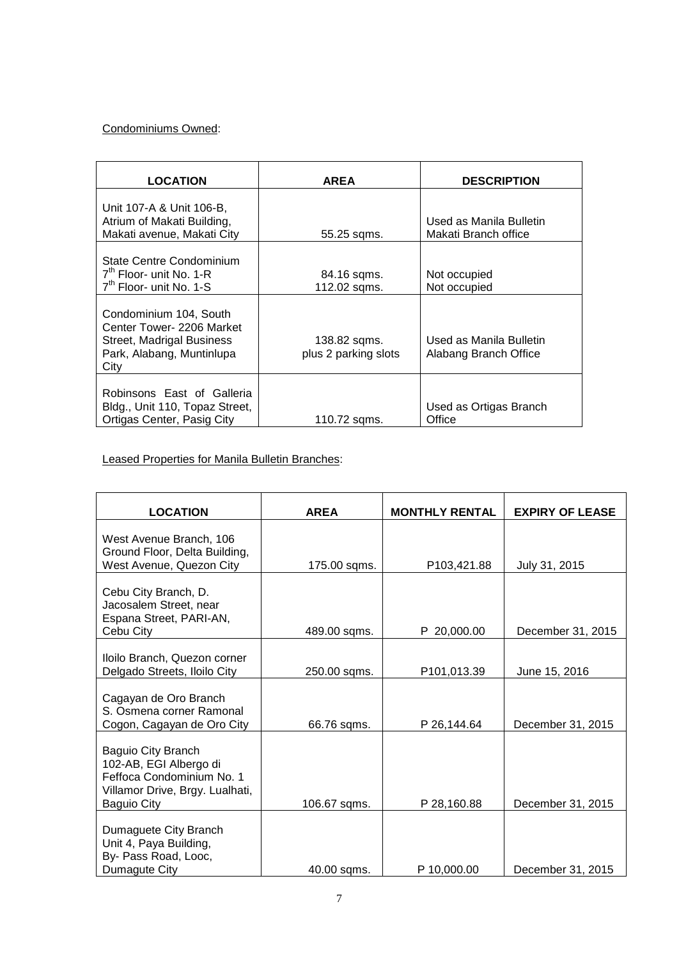# Condominiums Owned:

| <b>LOCATION</b>                                                                                                       | <b>AREA</b>                          | <b>DESCRIPTION</b>                               |
|-----------------------------------------------------------------------------------------------------------------------|--------------------------------------|--------------------------------------------------|
| Unit 107-A & Unit 106-B,<br>Atrium of Makati Building,<br>Makati avenue, Makati City                                  | 55.25 sqms.                          | Used as Manila Bulletin<br>Makati Branch office  |
| State Centre Condominium<br>$7th$ Floor- unit No. 1-R<br>$7th$ Floor- unit No. 1-S                                    | 84.16 sqms.<br>112.02 sqms.          | Not occupied<br>Not occupied                     |
| Condominium 104, South<br>Center Tower- 2206 Market<br>Street, Madrigal Business<br>Park, Alabang, Muntinlupa<br>City | 138.82 sqms.<br>plus 2 parking slots | Used as Manila Bulletin<br>Alabang Branch Office |
| Robinsons East of Galleria<br>Bldg., Unit 110, Topaz Street,<br>Ortigas Center, Pasig City                            | 110.72 sgms.                         | Used as Ortigas Branch<br>Office                 |

# Leased Properties for Manila Bulletin Branches:

| <b>LOCATION</b>                                                                                                                    | <b>AREA</b>  | <b>MONTHLY RENTAL</b> | <b>EXPIRY OF LEASE</b> |
|------------------------------------------------------------------------------------------------------------------------------------|--------------|-----------------------|------------------------|
| West Avenue Branch, 106<br>Ground Floor, Delta Building,<br>West Avenue, Quezon City                                               | 175.00 sqms. | P103,421.88           | July 31, 2015          |
| Cebu City Branch, D.<br>Jacosalem Street, near<br>Espana Street, PARI-AN,<br>Cebu City                                             | 489.00 sqms. | P 20,000.00           | December 31, 2015      |
| Iloilo Branch, Quezon corner<br>Delgado Streets, Iloilo City                                                                       | 250.00 sqms. | P101,013.39           | June 15, 2016          |
| Cagayan de Oro Branch<br>S. Osmena corner Ramonal<br>Cogon, Cagayan de Oro City                                                    | 66.76 sqms.  | P 26,144.64           | December 31, 2015      |
| Baguio City Branch<br>102-AB, EGI Albergo di<br>Feffoca Condominium No. 1<br>Villamor Drive, Brgy. Lualhati,<br><b>Baguio City</b> | 106.67 sqms. | P 28,160.88           | December 31, 2015      |
| Dumaguete City Branch<br>Unit 4, Paya Building,<br>By- Pass Road, Looc,<br>Dumagute City                                           | 40.00 sqms.  | P 10,000.00           | December 31, 2015      |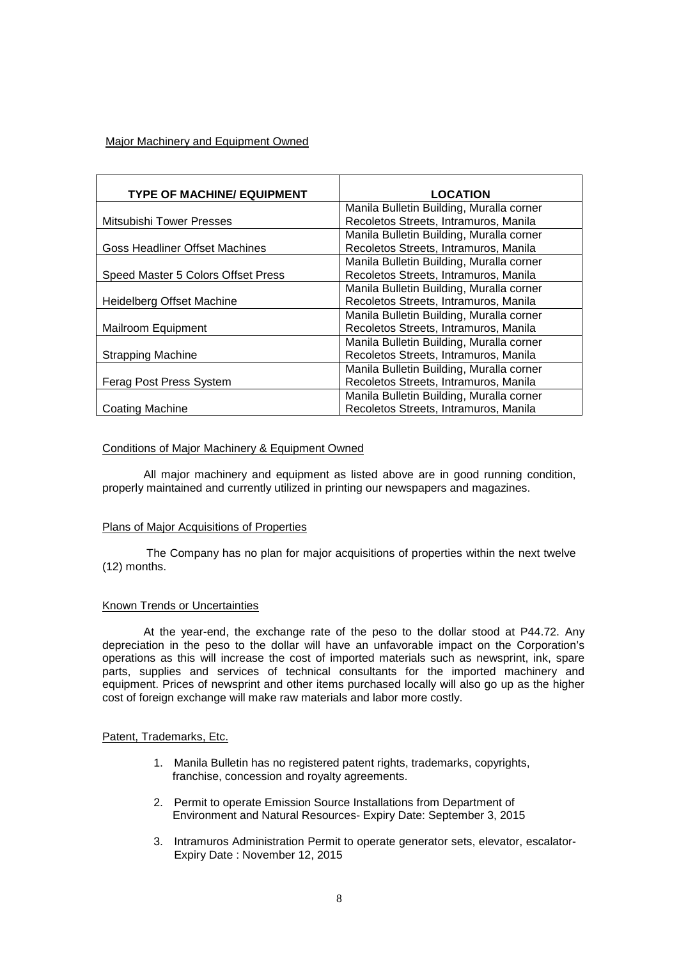# Major Machinery and Equipment Owned

| <b>TYPE OF MACHINE/ EQUIPMENT</b>     | <b>LOCATION</b>                          |
|---------------------------------------|------------------------------------------|
|                                       | Manila Bulletin Building, Muralla corner |
| Mitsubishi Tower Presses              | Recoletos Streets, Intramuros, Manila    |
|                                       | Manila Bulletin Building, Muralla corner |
| <b>Goss Headliner Offset Machines</b> | Recoletos Streets, Intramuros, Manila    |
|                                       | Manila Bulletin Building, Muralla corner |
| Speed Master 5 Colors Offset Press    | Recoletos Streets, Intramuros, Manila    |
|                                       | Manila Bulletin Building, Muralla corner |
| Heidelberg Offset Machine             | Recoletos Streets, Intramuros, Manila    |
|                                       | Manila Bulletin Building, Muralla corner |
| Mailroom Equipment                    | Recoletos Streets, Intramuros, Manila    |
|                                       | Manila Bulletin Building, Muralla corner |
| <b>Strapping Machine</b>              | Recoletos Streets, Intramuros, Manila    |
|                                       | Manila Bulletin Building, Muralla corner |
| Ferag Post Press System               | Recoletos Streets, Intramuros, Manila    |
|                                       | Manila Bulletin Building, Muralla corner |
| <b>Coating Machine</b>                | Recoletos Streets, Intramuros, Manila    |

## Conditions of Major Machinery & Equipment Owned

 All major machinery and equipment as listed above are in good running condition, properly maintained and currently utilized in printing our newspapers and magazines.

## Plans of Major Acquisitions of Properties

 The Company has no plan for major acquisitions of properties within the next twelve (12) months.

## Known Trends or Uncertainties

 At the year-end, the exchange rate of the peso to the dollar stood at P44.72. Any depreciation in the peso to the dollar will have an unfavorable impact on the Corporation's operations as this will increase the cost of imported materials such as newsprint, ink, spare parts, supplies and services of technical consultants for the imported machinery and equipment. Prices of newsprint and other items purchased locally will also go up as the higher cost of foreign exchange will make raw materials and labor more costly.

## Patent, Trademarks, Etc.

- 1. Manila Bulletin has no registered patent rights, trademarks, copyrights, franchise, concession and royalty agreements.
- 2. Permit to operate Emission Source Installations from Department of Environment and Natural Resources- Expiry Date: September 3, 2015
- 3. Intramuros Administration Permit to operate generator sets, elevator, escalator-Expiry Date : November 12, 2015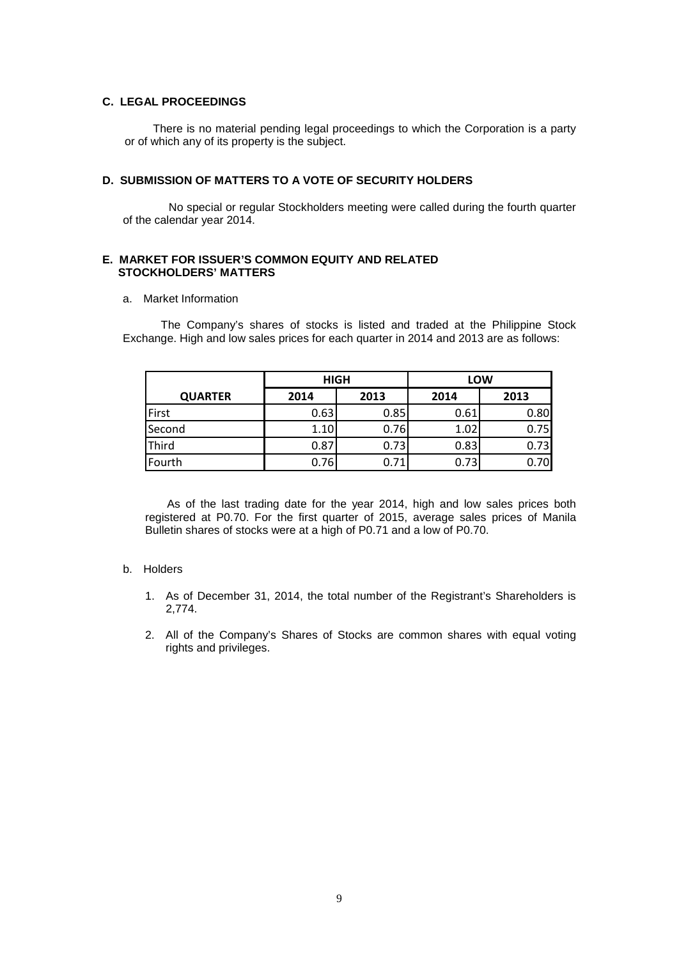# **C. LEGAL PROCEEDINGS**

 There is no material pending legal proceedings to which the Corporation is a party or of which any of its property is the subject.

# **D. SUBMISSION OF MATTERS TO A VOTE OF SECURITY HOLDERS**

 No special or regular Stockholders meeting were called during the fourth quarter of the calendar year 2014.

# **E. MARKET FOR ISSUER'S COMMON EQUITY AND RELATED STOCKHOLDERS' MATTERS**

## a. Market Information

 The Company's shares of stocks is listed and traded at the Philippine Stock Exchange. High and low sales prices for each quarter in 2014 and 2013 are as follows:

|                | <b>HIGH</b> |      | LOW  |      |  |
|----------------|-------------|------|------|------|--|
| <b>QUARTER</b> | 2014        | 2013 | 2014 | 2013 |  |
| First          | 0.63        | 0.85 | 0.61 | 0.80 |  |
| Second         | 1.10        | 0.76 | 1.02 | 0.75 |  |
| Third          | 0.87        | 0.73 | 0.83 | 0.73 |  |
| Fourth         | 0.76        | 0.71 | 0.73 | 0.70 |  |

As of the last trading date for the year 2014, high and low sales prices both registered at P0.70. For the first quarter of 2015, average sales prices of Manila Bulletin shares of stocks were at a high of P0.71 and a low of P0.70.

## b. Holders

- 1. As of December 31, 2014, the total number of the Registrant's Shareholders is 2,774.
- 2. All of the Company's Shares of Stocks are common shares with equal voting rights and privileges.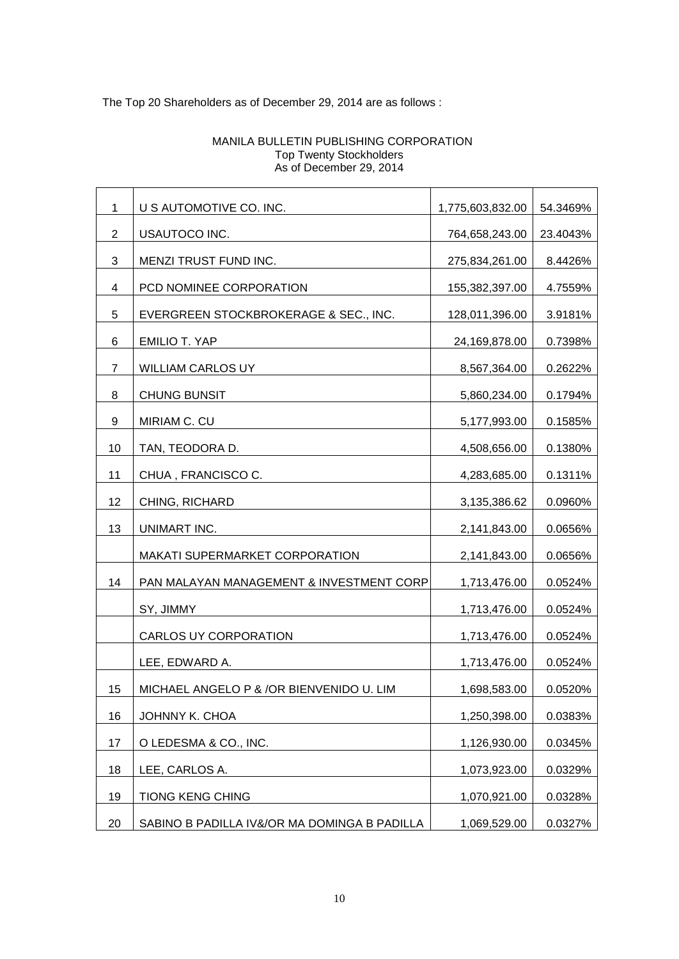# The Top 20 Shareholders as of December 29, 2014 are as follows :

| $\mathbf{1}$ | U S AUTOMOTIVE CO. INC.                      | 1,775,603,832.00 | 54.3469% |
|--------------|----------------------------------------------|------------------|----------|
| 2            | USAUTOCO INC.                                | 764,658,243.00   | 23.4043% |
| 3            | MENZI TRUST FUND INC.                        | 275,834,261.00   | 8.4426%  |
| 4            | PCD NOMINEE CORPORATION                      | 155,382,397.00   | 4.7559%  |
| 5            | EVERGREEN STOCKBROKERAGE & SEC., INC.        | 128,011,396.00   | 3.9181%  |
| 6            | <b>EMILIO T. YAP</b>                         | 24,169,878.00    | 0.7398%  |
| 7            | WILLIAM CARLOS UY                            | 8,567,364.00     | 0.2622%  |
| 8            | <b>CHUNG BUNSIT</b>                          | 5,860,234.00     | 0.1794%  |
| 9            | MIRIAM C. CU                                 | 5,177,993.00     | 0.1585%  |
| 10           | TAN, TEODORA D.                              | 4,508,656.00     | 0.1380%  |
| 11           | CHUA, FRANCISCO C.                           | 4,283,685.00     | 0.1311%  |
| 12           | CHING, RICHARD                               | 3,135,386.62     | 0.0960%  |
| 13           | UNIMART INC.                                 | 2,141,843.00     | 0.0656%  |
|              | <b>MAKATI SUPERMARKET CORPORATION</b>        | 2,141,843.00     | 0.0656%  |
| 14           | PAN MALAYAN MANAGEMENT & INVESTMENT CORP     | 1,713,476.00     | 0.0524%  |
|              | SY, JIMMY                                    | 1,713,476.00     | 0.0524%  |
|              | CARLOS UY CORPORATION                        | 1,713,476.00     | 0.0524%  |
|              | LEE, EDWARD A.                               | 1,713,476.00     | 0.0524%  |
| 15           | MICHAEL ANGELO P & /OR BIENVENIDO U. LIM     | 1,698,583.00     | 0.0520%  |
| 16           | JOHNNY K. CHOA                               | 1,250,398.00     | 0.0383%  |
| 17           | O LEDESMA & CO., INC.                        | 1,126,930.00     | 0.0345%  |
| 18           | LEE, CARLOS A.                               | 1,073,923.00     | 0.0329%  |
| 19           | <b>TIONG KENG CHING</b>                      | 1,070,921.00     | 0.0328%  |
| 20           | SABINO B PADILLA IV&/OR MA DOMINGA B PADILLA | 1,069,529.00     | 0.0327%  |

# MANILA BULLETIN PUBLISHING CORPORATION Top Twenty Stockholders As of December 29, 2014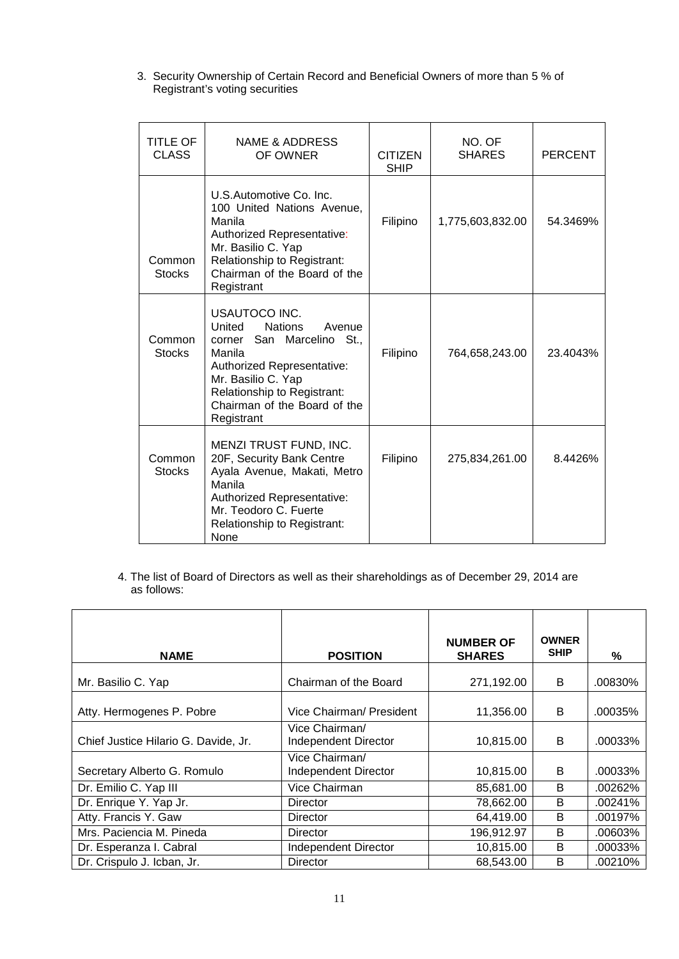3. Security Ownership of Certain Record and Beneficial Owners of more than 5 % of Registrant's voting securities

| TITLE OF<br><b>CLASS</b> | <b>NAME &amp; ADDRESS</b><br>OF OWNER                                                                                                                                                                                       | <b>CITIZEN</b><br><b>SHIP</b> | NO. OF<br><b>SHARES</b> | <b>PERCENT</b> |
|--------------------------|-----------------------------------------------------------------------------------------------------------------------------------------------------------------------------------------------------------------------------|-------------------------------|-------------------------|----------------|
| Common<br><b>Stocks</b>  | U.S.Automotive Co. Inc.<br>100 United Nations Avenue,<br>Manila<br>Authorized Representative:<br>Mr. Basilio C. Yap<br>Relationship to Registrant:<br>Chairman of the Board of the<br>Registrant                            | Filipino                      | 1,775,603,832.00        | 54.3469%       |
| Common<br><b>Stocks</b>  | USAUTOCO INC.<br>United<br><b>Nations</b><br>Avenue<br>corner San Marcelino St.,<br>Manila<br>Authorized Representative:<br>Mr. Basilio C. Yap<br>Relationship to Registrant:<br>Chairman of the Board of the<br>Registrant | Filipino                      | 764,658,243.00          | 23.4043%       |
| Common<br><b>Stocks</b>  | MENZI TRUST FUND, INC.<br>20F, Security Bank Centre<br>Ayala Avenue, Makati, Metro<br>Manila<br>Authorized Representative:<br>Mr. Teodoro C. Fuerte<br>Relationship to Registrant:<br><b>None</b>                           | Filipino                      | 275,834,261.00          | 8.4426%        |

4. The list of Board of Directors as well as their shareholdings as of December 29, 2014 are as follows:

| <b>NAME</b>                          | <b>POSITION</b>                        | <b>NUMBER OF</b><br><b>SHARES</b> | <b>OWNER</b><br><b>SHIP</b> | %       |
|--------------------------------------|----------------------------------------|-----------------------------------|-----------------------------|---------|
| Mr. Basilio C. Yap                   | Chairman of the Board                  | 271,192.00                        | В                           | .00830% |
| Atty. Hermogenes P. Pobre            | Vice Chairman/ President               | 11,356.00                         | B                           | .00035% |
| Chief Justice Hilario G. Davide, Jr. | Vice Chairman/<br>Independent Director | 10,815.00                         | B                           | .00033% |
| Secretary Alberto G. Romulo          | Vice Chairman/<br>Independent Director | 10,815.00                         | B                           | .00033% |
| Dr. Emilio C. Yap III                | Vice Chairman                          | 85,681.00                         | B                           | .00262% |
| Dr. Enrique Y. Yap Jr.               | Director                               | 78,662.00                         | B                           | .00241% |
| Atty. Francis Y. Gaw                 | Director                               | 64,419.00                         | B                           | .00197% |
| Mrs. Paciencia M. Pineda             | Director                               | 196,912.97                        | B                           | .00603% |
| Dr. Esperanza I. Cabral              | <b>Independent Director</b>            | 10,815.00                         | B                           | .00033% |
| Dr. Crispulo J. Icban, Jr.           | <b>Director</b>                        | 68,543.00                         | B                           | .00210% |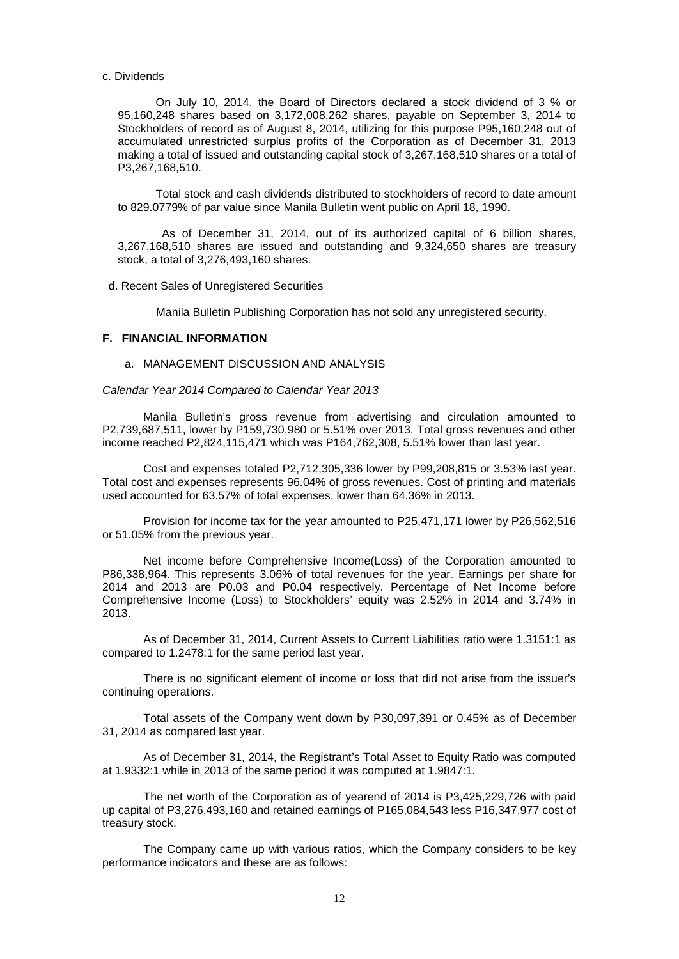#### c. Dividends

 On July 10, 2014, the Board of Directors declared a stock dividend of 3 % or 95,160,248 shares based on 3,172,008,262 shares, payable on September 3, 2014 to Stockholders of record as of August 8, 2014, utilizing for this purpose P95,160,248 out of accumulated unrestricted surplus profits of the Corporation as of December 31, 2013 making a total of issued and outstanding capital stock of 3,267,168,510 shares or a total of P3,267,168,510.

 Total stock and cash dividends distributed to stockholders of record to date amount to 829.0779% of par value since Manila Bulletin went public on April 18, 1990.

As of December 31, 2014, out of its authorized capital of 6 billion shares, 3,267,168,510 shares are issued and outstanding and 9,324,650 shares are treasury stock, a total of 3,276,493,160 shares.

d. Recent Sales of Unregistered Securities

Manila Bulletin Publishing Corporation has not sold any unregistered security.

## **F. FINANCIAL INFORMATION**

#### a. MANAGEMENT DISCUSSION AND ANALYSIS

#### *Calendar Year 2014 Compared to Calendar Year 2013*

Manila Bulletin's gross revenue from advertising and circulation amounted to P2,739,687,511, lower by P159,730,980 or 5.51% over 2013. Total gross revenues and other income reached P2,824,115,471 which was P164,762,308, 5.51% lower than last year.

Cost and expenses totaled P2,712,305,336 lower by P99,208,815 or 3.53% last year. Total cost and expenses represents 96.04% of gross revenues. Cost of printing and materials used accounted for 63.57% of total expenses, lower than 64.36% in 2013.

Provision for income tax for the year amounted to P25,471,171 lower by P26,562,516 or 51.05% from the previous year.

Net income before Comprehensive Income(Loss) of the Corporation amounted to P86,338,964. This represents 3.06% of total revenues for the year. Earnings per share for 2014 and 2013 are P0.03 and P0.04 respectively. Percentage of Net Income before Comprehensive Income (Loss) to Stockholders' equity was 2.52% in 2014 and 3.74% in 2013.

As of December 31, 2014, Current Assets to Current Liabilities ratio were 1.3151:1 as compared to 1.2478:1 for the same period last year.

There is no significant element of income or loss that did not arise from the issuer's continuing operations.

Total assets of the Company went down by P30,097,391 or 0.45% as of December 31, 2014 as compared last year.

As of December 31, 2014, the Registrant's Total Asset to Equity Ratio was computed at 1.9332:1 while in 2013 of the same period it was computed at 1.9847:1.

The net worth of the Corporation as of yearend of 2014 is P3,425,229,726 with paid up capital of P3,276,493,160 and retained earnings of P165,084,543 less P16,347,977 cost of treasury stock.

The Company came up with various ratios, which the Company considers to be key performance indicators and these are as follows: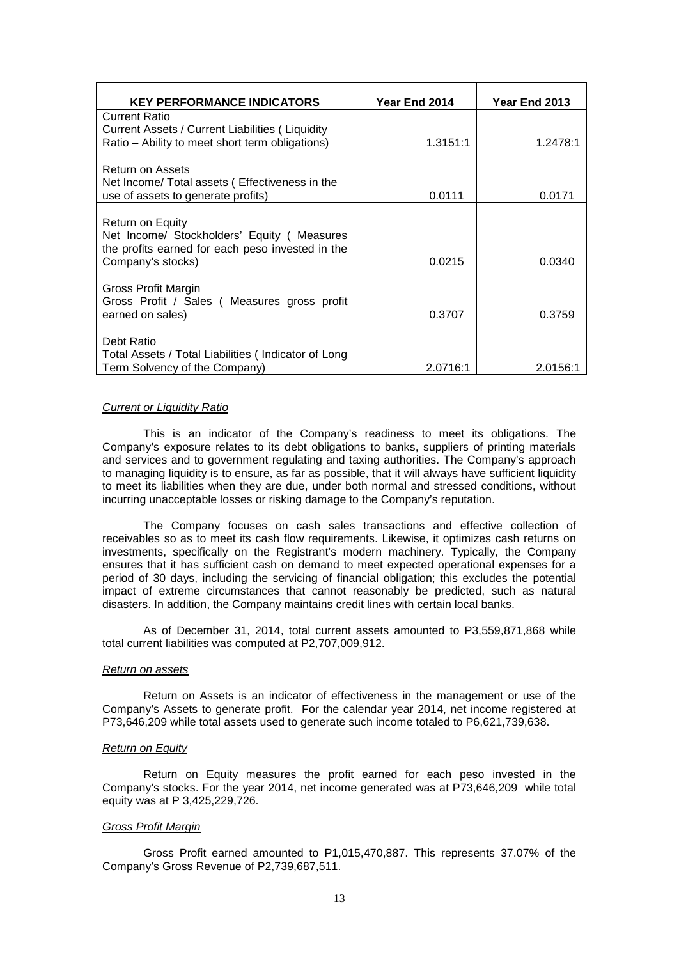| <b>KEY PERFORMANCE INDICATORS</b>                                                                                                                                                                                                             | Year End 2014      | Year End 2013      |
|-----------------------------------------------------------------------------------------------------------------------------------------------------------------------------------------------------------------------------------------------|--------------------|--------------------|
| <b>Current Ratio</b>                                                                                                                                                                                                                          |                    |                    |
| Current Assets / Current Liabilities (Liquidity                                                                                                                                                                                               |                    |                    |
| Ratio - Ability to meet short term obligations)                                                                                                                                                                                               | 1.3151:1           | 1.2478:1           |
| Return on Assets                                                                                                                                                                                                                              |                    |                    |
| Net Income/ Total assets (Effectiveness in the                                                                                                                                                                                                |                    |                    |
| use of assets to generate profits)                                                                                                                                                                                                            | 0.0111             | 0.0171             |
|                                                                                                                                                                                                                                               |                    |                    |
|                                                                                                                                                                                                                                               |                    |                    |
|                                                                                                                                                                                                                                               |                    |                    |
|                                                                                                                                                                                                                                               |                    |                    |
|                                                                                                                                                                                                                                               |                    |                    |
| Gross Profit Margin                                                                                                                                                                                                                           |                    |                    |
| Gross Profit / Sales (Measures gross profit                                                                                                                                                                                                   |                    |                    |
| earned on sales)                                                                                                                                                                                                                              | 0.3707             | 0.3759             |
|                                                                                                                                                                                                                                               |                    |                    |
|                                                                                                                                                                                                                                               |                    |                    |
|                                                                                                                                                                                                                                               |                    |                    |
| Return on Equity<br>Net Income/ Stockholders' Equity (Measures<br>the profits earned for each peso invested in the<br>Company's stocks)<br>Debt Ratio<br>Total Assets / Total Liabilities (Indicator of Long<br>Term Solvency of the Company) | 0.0215<br>2.0716:1 | 0.0340<br>2.0156:1 |

#### *Current or Liquidity Ratio*

This is an indicator of the Company's readiness to meet its obligations. The Company's exposure relates to its debt obligations to banks, suppliers of printing materials and services and to government regulating and taxing authorities. The Company's approach to managing liquidity is to ensure, as far as possible, that it will always have sufficient liquidity to meet its liabilities when they are due, under both normal and stressed conditions, without incurring unacceptable losses or risking damage to the Company's reputation.

The Company focuses on cash sales transactions and effective collection of receivables so as to meet its cash flow requirements. Likewise, it optimizes cash returns on investments, specifically on the Registrant's modern machinery. Typically, the Company ensures that it has sufficient cash on demand to meet expected operational expenses for a period of 30 days, including the servicing of financial obligation; this excludes the potential impact of extreme circumstances that cannot reasonably be predicted, such as natural disasters. In addition, the Company maintains credit lines with certain local banks.

As of December 31, 2014, total current assets amounted to P3,559,871,868 while total current liabilities was computed at P2,707,009,912.

## *Return on assets*

Return on Assets is an indicator of effectiveness in the management or use of the Company's Assets to generate profit. For the calendar year 2014, net income registered at P73,646,209 while total assets used to generate such income totaled to P6,621,739,638.

#### *Return on Equity*

Return on Equity measures the profit earned for each peso invested in the Company's stocks. For the year 2014, net income generated was at P73,646,209 while total equity was at P 3,425,229,726.

#### *Gross Profit Margin*

Gross Profit earned amounted to P1,015,470,887. This represents 37.07% of the Company's Gross Revenue of P2,739,687,511.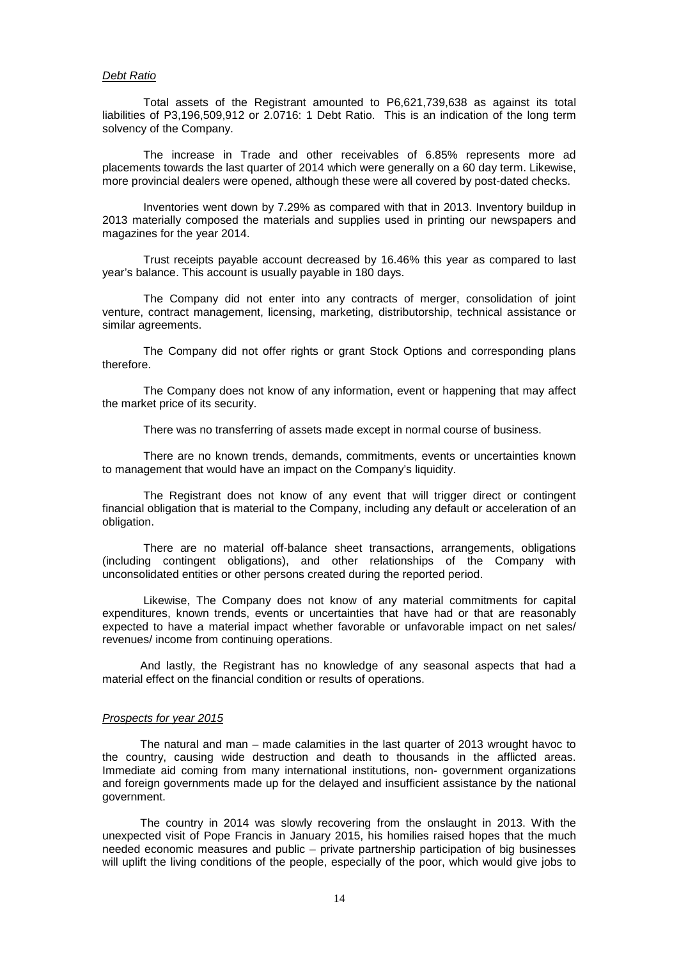#### *Debt Ratio*

Total assets of the Registrant amounted to P6,621,739,638 as against its total liabilities of P3,196,509,912 or 2.0716: 1 Debt Ratio. This is an indication of the long term solvency of the Company.

The increase in Trade and other receivables of 6.85% represents more ad placements towards the last quarter of 2014 which were generally on a 60 day term. Likewise, more provincial dealers were opened, although these were all covered by post-dated checks.

Inventories went down by 7.29% as compared with that in 2013. Inventory buildup in 2013 materially composed the materials and supplies used in printing our newspapers and magazines for the year 2014.

Trust receipts payable account decreased by 16.46% this year as compared to last year's balance. This account is usually payable in 180 days.

The Company did not enter into any contracts of merger, consolidation of joint venture, contract management, licensing, marketing, distributorship, technical assistance or similar agreements.

The Company did not offer rights or grant Stock Options and corresponding plans therefore.

The Company does not know of any information, event or happening that may affect the market price of its security.

There was no transferring of assets made except in normal course of business.

There are no known trends, demands, commitments, events or uncertainties known to management that would have an impact on the Company's liquidity.

The Registrant does not know of any event that will trigger direct or contingent financial obligation that is material to the Company, including any default or acceleration of an obligation.

There are no material off-balance sheet transactions, arrangements, obligations (including contingent obligations), and other relationships of the Company with unconsolidated entities or other persons created during the reported period.

Likewise, The Company does not know of any material commitments for capital expenditures, known trends, events or uncertainties that have had or that are reasonably expected to have a material impact whether favorable or unfavorable impact on net sales/ revenues/ income from continuing operations.

 And lastly, the Registrant has no knowledge of any seasonal aspects that had a material effect on the financial condition or results of operations.

## *Prospects for year 2015*

 The natural and man – made calamities in the last quarter of 2013 wrought havoc to the country, causing wide destruction and death to thousands in the afflicted areas. Immediate aid coming from many international institutions, non- government organizations and foreign governments made up for the delayed and insufficient assistance by the national government.

 The country in 2014 was slowly recovering from the onslaught in 2013. With the unexpected visit of Pope Francis in January 2015, his homilies raised hopes that the much needed economic measures and public – private partnership participation of big businesses will uplift the living conditions of the people, especially of the poor, which would give jobs to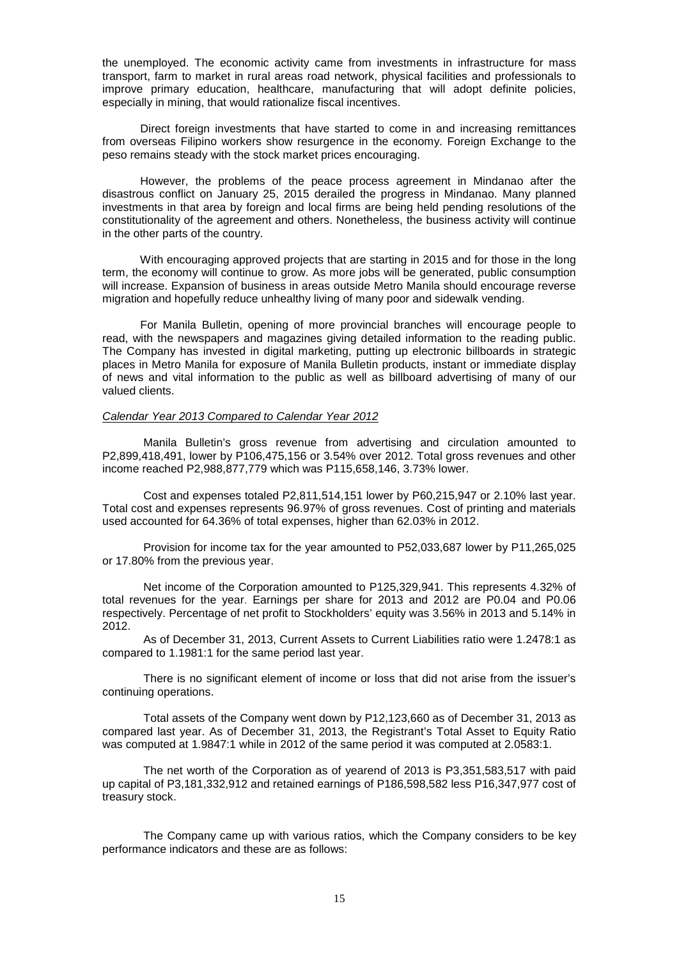the unemployed. The economic activity came from investments in infrastructure for mass transport, farm to market in rural areas road network, physical facilities and professionals to improve primary education, healthcare, manufacturing that will adopt definite policies, especially in mining, that would rationalize fiscal incentives.

 Direct foreign investments that have started to come in and increasing remittances from overseas Filipino workers show resurgence in the economy. Foreign Exchange to the peso remains steady with the stock market prices encouraging.

 However, the problems of the peace process agreement in Mindanao after the disastrous conflict on January 25, 2015 derailed the progress in Mindanao. Many planned investments in that area by foreign and local firms are being held pending resolutions of the constitutionality of the agreement and others. Nonetheless, the business activity will continue in the other parts of the country.

 With encouraging approved projects that are starting in 2015 and for those in the long term, the economy will continue to grow. As more jobs will be generated, public consumption will increase. Expansion of business in areas outside Metro Manila should encourage reverse migration and hopefully reduce unhealthy living of many poor and sidewalk vending.

 For Manila Bulletin, opening of more provincial branches will encourage people to read, with the newspapers and magazines giving detailed information to the reading public. The Company has invested in digital marketing, putting up electronic billboards in strategic places in Metro Manila for exposure of Manila Bulletin products, instant or immediate display of news and vital information to the public as well as billboard advertising of many of our valued clients.

## *Calendar Year 2013 Compared to Calendar Year 2012*

Manila Bulletin's gross revenue from advertising and circulation amounted to P2,899,418,491, lower by P106,475,156 or 3.54% over 2012. Total gross revenues and other income reached P2,988,877,779 which was P115,658,146, 3.73% lower.

Cost and expenses totaled P2,811,514,151 lower by P60,215,947 or 2.10% last year. Total cost and expenses represents 96.97% of gross revenues. Cost of printing and materials used accounted for 64.36% of total expenses, higher than 62.03% in 2012.

Provision for income tax for the year amounted to P52,033,687 lower by P11,265,025 or 17.80% from the previous year.

Net income of the Corporation amounted to P125,329,941. This represents 4.32% of total revenues for the year. Earnings per share for 2013 and 2012 are P0.04 and P0.06 respectively. Percentage of net profit to Stockholders' equity was 3.56% in 2013 and 5.14% in 2012.

As of December 31, 2013, Current Assets to Current Liabilities ratio were 1.2478:1 as compared to 1.1981:1 for the same period last year.

There is no significant element of income or loss that did not arise from the issuer's continuing operations.

Total assets of the Company went down by P12,123,660 as of December 31, 2013 as compared last year. As of December 31, 2013, the Registrant's Total Asset to Equity Ratio was computed at 1.9847:1 while in 2012 of the same period it was computed at 2.0583:1.

The net worth of the Corporation as of yearend of 2013 is P3,351,583,517 with paid up capital of P3,181,332,912 and retained earnings of P186,598,582 less P16,347,977 cost of treasury stock.

The Company came up with various ratios, which the Company considers to be key performance indicators and these are as follows: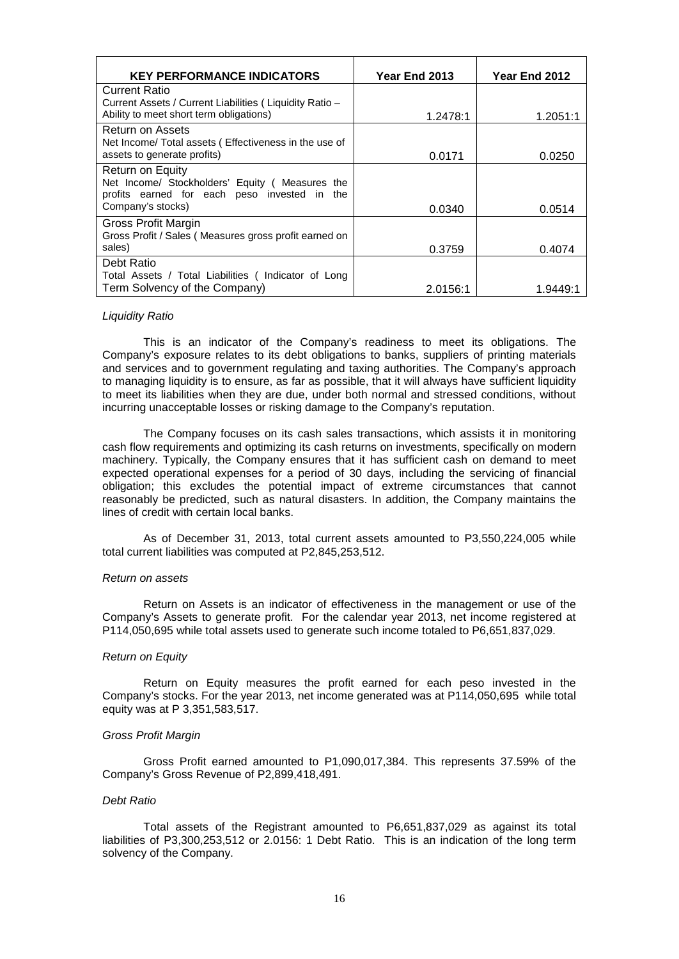| <b>KEY PERFORMANCE INDICATORS</b>                                                               | Year End 2013 | Year End 2012 |
|-------------------------------------------------------------------------------------------------|---------------|---------------|
| <b>Current Ratio</b>                                                                            |               |               |
| Current Assets / Current Liabilities (Liquidity Ratio -                                         |               |               |
| Ability to meet short term obligations)                                                         | 1.2478:1      | 1.2051:1      |
| Return on Assets                                                                                |               |               |
| Net Income/ Total assets (Effectiveness in the use of                                           |               |               |
| assets to generate profits)                                                                     | 0.0171        | 0.0250        |
| Return on Equity                                                                                |               |               |
| Net Income/ Stockholders' Equity ( Measures the<br>profits earned for each peso invested in the |               |               |
| Company's stocks)                                                                               | 0.0340        | 0.0514        |
| Gross Profit Margin                                                                             |               |               |
| Gross Profit / Sales (Measures gross profit earned on                                           |               |               |
| sales)                                                                                          | 0.3759        | 0.4074        |
| Debt Ratio                                                                                      |               |               |
| Total Assets / Total Liabilities (Indicator of Long                                             |               |               |
| Term Solvency of the Company)                                                                   | 2.0156:1      | 1.9449.1      |

#### *Liquidity Ratio*

This is an indicator of the Company's readiness to meet its obligations. The Company's exposure relates to its debt obligations to banks, suppliers of printing materials and services and to government regulating and taxing authorities. The Company's approach to managing liquidity is to ensure, as far as possible, that it will always have sufficient liquidity to meet its liabilities when they are due, under both normal and stressed conditions, without incurring unacceptable losses or risking damage to the Company's reputation.

The Company focuses on its cash sales transactions, which assists it in monitoring cash flow requirements and optimizing its cash returns on investments, specifically on modern machinery. Typically, the Company ensures that it has sufficient cash on demand to meet expected operational expenses for a period of 30 days, including the servicing of financial obligation; this excludes the potential impact of extreme circumstances that cannot reasonably be predicted, such as natural disasters. In addition, the Company maintains the lines of credit with certain local banks.

As of December 31, 2013, total current assets amounted to P3,550,224,005 while total current liabilities was computed at P2,845,253,512.

## *Return on assets*

Return on Assets is an indicator of effectiveness in the management or use of the Company's Assets to generate profit. For the calendar year 2013, net income registered at P114,050,695 while total assets used to generate such income totaled to P6,651,837,029.

## *Return on Equity*

Return on Equity measures the profit earned for each peso invested in the Company's stocks. For the year 2013, net income generated was at P114,050,695 while total equity was at P 3,351,583,517.

#### *Gross Profit Margin*

Gross Profit earned amounted to P1,090,017,384. This represents 37.59% of the Company's Gross Revenue of P2,899,418,491.

#### *Debt Ratio*

Total assets of the Registrant amounted to P6,651,837,029 as against its total liabilities of P3,300,253,512 or 2.0156: 1 Debt Ratio. This is an indication of the long term solvency of the Company.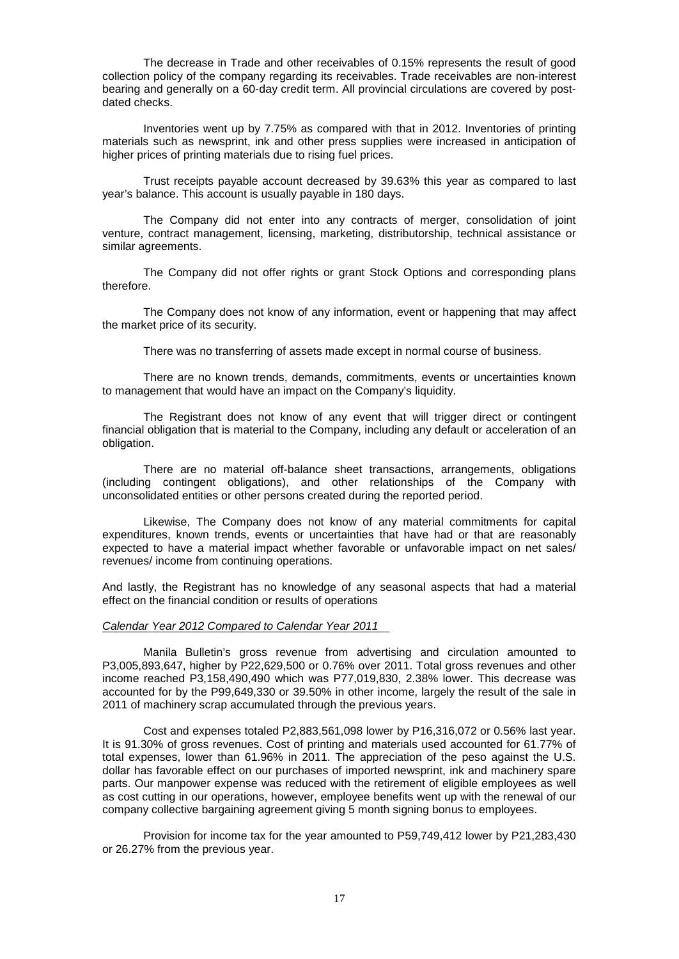The decrease in Trade and other receivables of 0.15% represents the result of good collection policy of the company regarding its receivables. Trade receivables are non-interest bearing and generally on a 60-day credit term. All provincial circulations are covered by postdated checks.

Inventories went up by 7.75% as compared with that in 2012. Inventories of printing materials such as newsprint, ink and other press supplies were increased in anticipation of higher prices of printing materials due to rising fuel prices.

Trust receipts payable account decreased by 39.63% this year as compared to last year's balance. This account is usually payable in 180 days.

The Company did not enter into any contracts of merger, consolidation of joint venture, contract management, licensing, marketing, distributorship, technical assistance or similar agreements.

The Company did not offer rights or grant Stock Options and corresponding plans therefore.

The Company does not know of any information, event or happening that may affect the market price of its security.

There was no transferring of assets made except in normal course of business.

There are no known trends, demands, commitments, events or uncertainties known to management that would have an impact on the Company's liquidity.

The Registrant does not know of any event that will trigger direct or contingent financial obligation that is material to the Company, including any default or acceleration of an obligation.

There are no material off-balance sheet transactions, arrangements, obligations (including contingent obligations), and other relationships of the Company with unconsolidated entities or other persons created during the reported period.

Likewise, The Company does not know of any material commitments for capital expenditures, known trends, events or uncertainties that have had or that are reasonably expected to have a material impact whether favorable or unfavorable impact on net sales/ revenues/ income from continuing operations.

And lastly, the Registrant has no knowledge of any seasonal aspects that had a material effect on the financial condition or results of operations

## *Calendar Year 2012 Compared to Calendar Year 2011*

Manila Bulletin's gross revenue from advertising and circulation amounted to P3,005,893,647, higher by P22,629,500 or 0.76% over 2011. Total gross revenues and other income reached P3,158,490,490 which was P77,019,830, 2.38% lower. This decrease was accounted for by the P99,649,330 or 39.50% in other income, largely the result of the sale in 2011 of machinery scrap accumulated through the previous years.

Cost and expenses totaled P2,883,561,098 lower by P16,316,072 or 0.56% last year. It is 91.30% of gross revenues. Cost of printing and materials used accounted for 61.77% of total expenses, lower than 61.96% in 2011. The appreciation of the peso against the U.S. dollar has favorable effect on our purchases of imported newsprint, ink and machinery spare parts. Our manpower expense was reduced with the retirement of eligible employees as well as cost cutting in our operations, however, employee benefits went up with the renewal of our company collective bargaining agreement giving 5 month signing bonus to employees.

Provision for income tax for the year amounted to P59,749,412 lower by P21,283,430 or 26.27% from the previous year.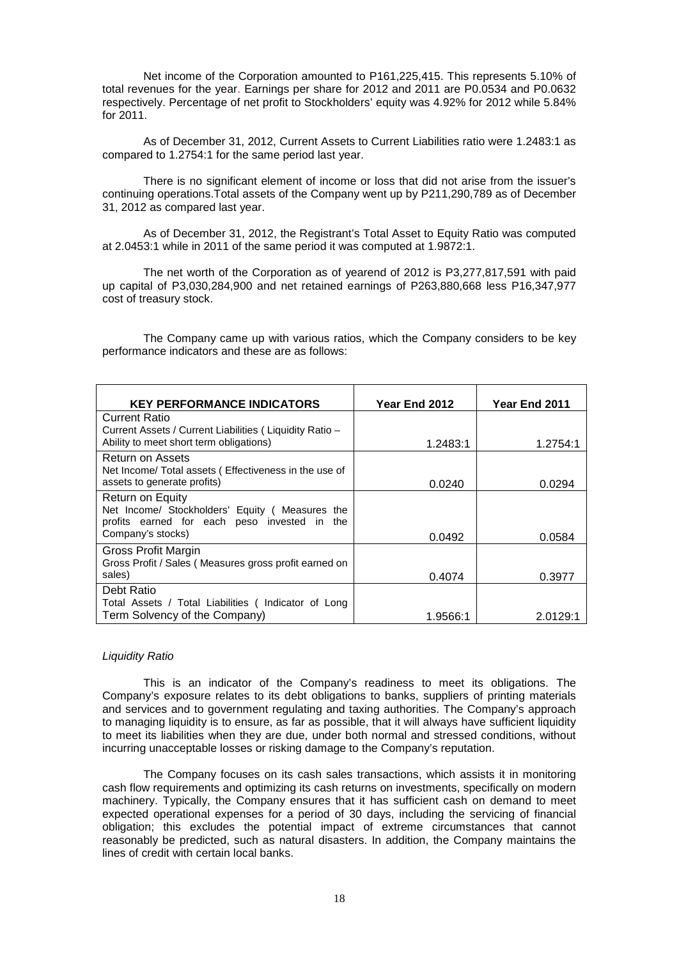Net income of the Corporation amounted to P161,225,415. This represents 5.10% of total revenues for the year. Earnings per share for 2012 and 2011 are P0.0534 and P0.0632 respectively. Percentage of net profit to Stockholders' equity was 4.92% for 2012 while 5.84% for 2011.

As of December 31, 2012, Current Assets to Current Liabilities ratio were 1.2483:1 as compared to 1.2754:1 for the same period last year.

There is no significant element of income or loss that did not arise from the issuer's continuing operations.Total assets of the Company went up by P211,290,789 as of December 31, 2012 as compared last year.

As of December 31, 2012, the Registrant's Total Asset to Equity Ratio was computed at 2.0453:1 while in 2011 of the same period it was computed at 1.9872:1.

The net worth of the Corporation as of yearend of 2012 is P3,277,817,591 with paid up capital of P3,030,284,900 and net retained earnings of P263,880,668 less P16,347,977 cost of treasury stock.

The Company came up with various ratios, which the Company considers to be key performance indicators and these are as follows:

| <b>KEY PERFORMANCE INDICATORS</b>                                                                                  | Year End 2012 | <b>Year End 2011</b> |
|--------------------------------------------------------------------------------------------------------------------|---------------|----------------------|
| <b>Current Ratio</b>                                                                                               |               |                      |
| Current Assets / Current Liabilities (Liquidity Ratio -                                                            |               |                      |
| Ability to meet short term obligations)                                                                            | 1.2483:1      | 1.2754:1             |
| Return on Assets<br>Net Income/ Total assets ( Effectiveness in the use of                                         |               |                      |
| assets to generate profits)                                                                                        | 0.0240        | 0.0294               |
| Return on Equity<br>Net Income/ Stockholders' Equity (Measures the<br>profits earned for each peso invested in the |               |                      |
| Company's stocks)                                                                                                  | 0.0492        | 0.0584               |
| Gross Profit Margin<br>Gross Profit / Sales (Measures gross profit earned on                                       |               |                      |
| sales)                                                                                                             | 0.4074        | 0.3977               |
| Debt Ratio                                                                                                         |               |                      |
| Total Assets / Total Liabilities (Indicator of Long                                                                |               |                      |
| Term Solvency of the Company)                                                                                      | 1.9566:1      | 2.0129:1             |

## *Liquidity Ratio*

This is an indicator of the Company's readiness to meet its obligations. The Company's exposure relates to its debt obligations to banks, suppliers of printing materials and services and to government regulating and taxing authorities. The Company's approach to managing liquidity is to ensure, as far as possible, that it will always have sufficient liquidity to meet its liabilities when they are due, under both normal and stressed conditions, without incurring unacceptable losses or risking damage to the Company's reputation.

The Company focuses on its cash sales transactions, which assists it in monitoring cash flow requirements and optimizing its cash returns on investments, specifically on modern machinery. Typically, the Company ensures that it has sufficient cash on demand to meet expected operational expenses for a period of 30 days, including the servicing of financial obligation; this excludes the potential impact of extreme circumstances that cannot reasonably be predicted, such as natural disasters. In addition, the Company maintains the lines of credit with certain local banks.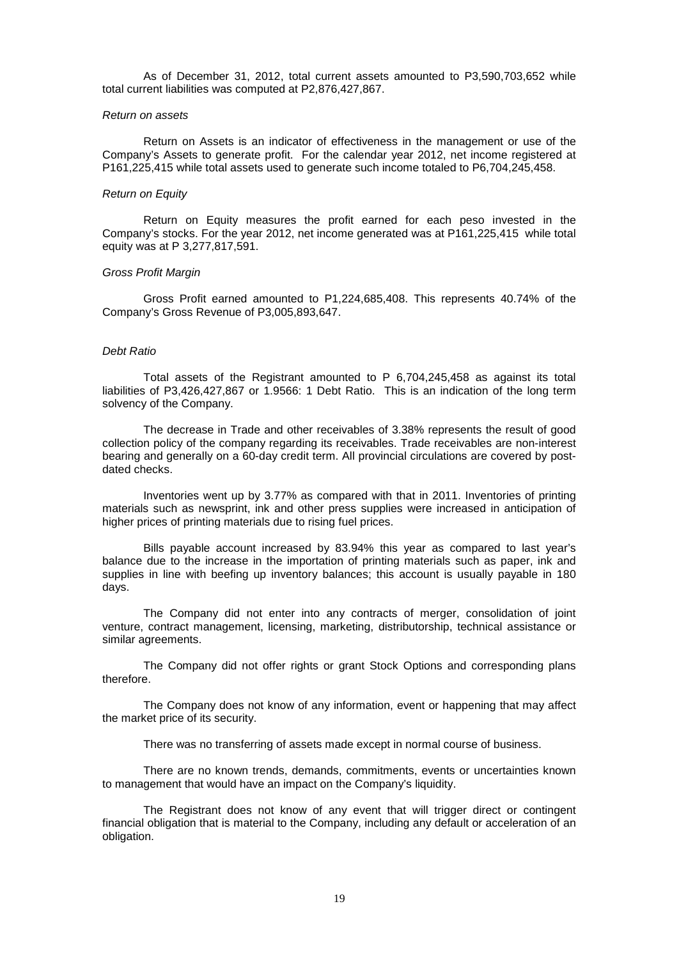As of December 31, 2012, total current assets amounted to P3,590,703,652 while total current liabilities was computed at P2,876,427,867.

## *Return on assets*

Return on Assets is an indicator of effectiveness in the management or use of the Company's Assets to generate profit. For the calendar year 2012, net income registered at P161,225,415 while total assets used to generate such income totaled to P6,704,245,458.

## *Return on Equity*

Return on Equity measures the profit earned for each peso invested in the Company's stocks. For the year 2012, net income generated was at P161,225,415 while total equity was at P 3,277,817,591.

## *Gross Profit Margin*

Gross Profit earned amounted to P1,224,685,408. This represents 40.74% of the Company's Gross Revenue of P3,005,893,647.

#### *Debt Ratio*

Total assets of the Registrant amounted to P 6,704,245,458 as against its total liabilities of P3,426,427,867 or 1.9566: 1 Debt Ratio. This is an indication of the long term solvency of the Company.

The decrease in Trade and other receivables of 3.38% represents the result of good collection policy of the company regarding its receivables. Trade receivables are non-interest bearing and generally on a 60-day credit term. All provincial circulations are covered by postdated checks.

Inventories went up by 3.77% as compared with that in 2011. Inventories of printing materials such as newsprint, ink and other press supplies were increased in anticipation of higher prices of printing materials due to rising fuel prices.

Bills payable account increased by 83.94% this year as compared to last year's balance due to the increase in the importation of printing materials such as paper, ink and supplies in line with beefing up inventory balances; this account is usually payable in 180 days.

The Company did not enter into any contracts of merger, consolidation of joint venture, contract management, licensing, marketing, distributorship, technical assistance or similar agreements.

The Company did not offer rights or grant Stock Options and corresponding plans therefore.

The Company does not know of any information, event or happening that may affect the market price of its security.

There was no transferring of assets made except in normal course of business.

There are no known trends, demands, commitments, events or uncertainties known to management that would have an impact on the Company's liquidity.

The Registrant does not know of any event that will trigger direct or contingent financial obligation that is material to the Company, including any default or acceleration of an obligation.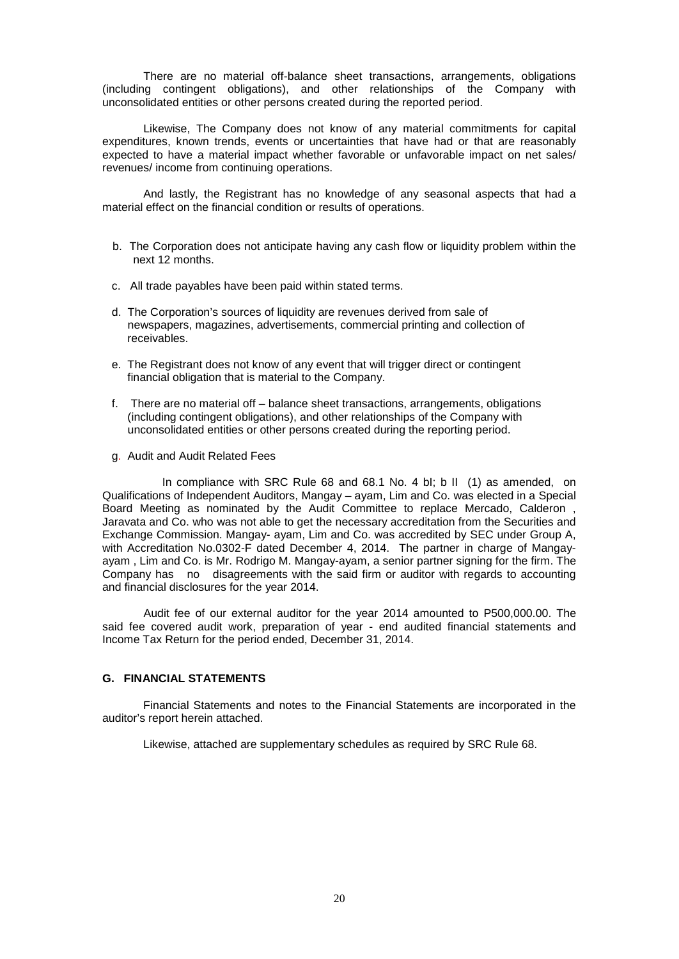There are no material off-balance sheet transactions, arrangements, obligations (including contingent obligations), and other relationships of the Company with unconsolidated entities or other persons created during the reported period.

Likewise, The Company does not know of any material commitments for capital expenditures, known trends, events or uncertainties that have had or that are reasonably expected to have a material impact whether favorable or unfavorable impact on net sales/ revenues/ income from continuing operations.

And lastly, the Registrant has no knowledge of any seasonal aspects that had a material effect on the financial condition or results of operations.

- b. The Corporation does not anticipate having any cash flow or liquidity problem within the next 12 months.
- c. All trade payables have been paid within stated terms.
- d. The Corporation's sources of liquidity are revenues derived from sale of newspapers, magazines, advertisements, commercial printing and collection of receivables.
- e. The Registrant does not know of any event that will trigger direct or contingent financial obligation that is material to the Company.
- f. There are no material off balance sheet transactions, arrangements, obligations (including contingent obligations), and other relationships of the Company with unconsolidated entities or other persons created during the reporting period.
- g. Audit and Audit Related Fees

 In compliance with SRC Rule 68 and 68.1 No. 4 bI; b II (1) as amended, on Qualifications of Independent Auditors, Mangay – ayam, Lim and Co. was elected in a Special Board Meeting as nominated by the Audit Committee to replace Mercado, Calderon , Jaravata and Co. who was not able to get the necessary accreditation from the Securities and Exchange Commission. Mangay- ayam, Lim and Co. was accredited by SEC under Group A, with Accreditation No.0302-F dated December 4, 2014. The partner in charge of Mangayayam , Lim and Co. is Mr. Rodrigo M. Mangay-ayam, a senior partner signing for the firm. The Company has no disagreements with the said firm or auditor with regards to accounting and financial disclosures for the year 2014.

 Audit fee of our external auditor for the year 2014 amounted to P500,000.00. The said fee covered audit work, preparation of year - end audited financial statements and Income Tax Return for the period ended, December 31, 2014.

# **G. FINANCIAL STATEMENTS**

 Financial Statements and notes to the Financial Statements are incorporated in the auditor's report herein attached.

Likewise, attached are supplementary schedules as required by SRC Rule 68.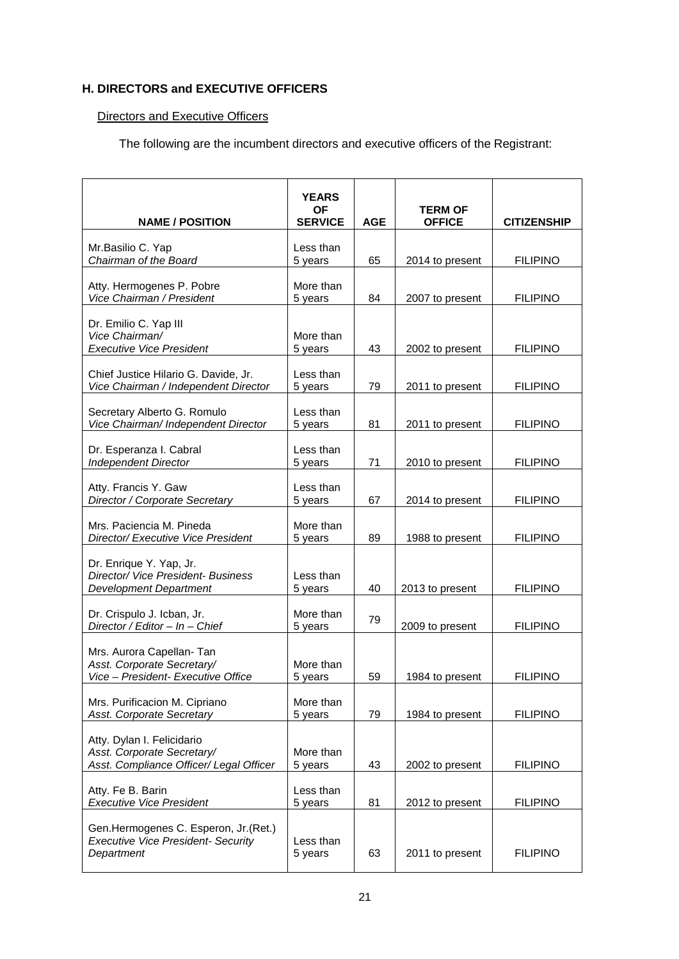# **H. DIRECTORS and EXECUTIVE OFFICERS**

# Directors and Executive Officers

The following are the incumbent directors and executive officers of the Registrant:

| <b>NAME / POSITION</b>                                                                                | <b>YEARS</b><br>ΟF<br><b>SERVICE</b> | <b>AGE</b> | <b>TERM OF</b><br><b>OFFICE</b> | <b>CITIZENSHIP</b> |
|-------------------------------------------------------------------------------------------------------|--------------------------------------|------------|---------------------------------|--------------------|
| Mr.Basilio C. Yap<br>Chairman of the Board                                                            | Less than<br>5 years                 | 65         | 2014 to present                 | <b>FILIPINO</b>    |
| Atty. Hermogenes P. Pobre<br>Vice Chairman / President                                                | More than<br>5 years                 | 84         | 2007 to present                 | <b>FILIPINO</b>    |
| Dr. Emilio C. Yap III<br>Vice Chairman/<br><b>Executive Vice President</b>                            | More than<br>5 years                 | 43         | 2002 to present                 | <b>FILIPINO</b>    |
| Chief Justice Hilario G. Davide, Jr.<br>Vice Chairman / Independent Director                          | Less than<br>5 years                 | 79         | 2011 to present                 | <b>FILIPINO</b>    |
| Secretary Alberto G. Romulo<br>Vice Chairman/ Independent Director                                    | Less than<br>5 years                 | 81         | 2011 to present                 | <b>FILIPINO</b>    |
| Dr. Esperanza I. Cabral<br><b>Independent Director</b>                                                | Less than<br>5 years                 | 71         | 2010 to present                 | <b>FILIPINO</b>    |
| Atty. Francis Y. Gaw<br>Director / Corporate Secretary                                                | Less than<br>5 years                 | 67         | 2014 to present                 | <b>FILIPINO</b>    |
| Mrs. Paciencia M. Pineda<br>Director/ Executive Vice President                                        | More than<br>5 years                 | 89         | 1988 to present                 | <b>FILIPINO</b>    |
| Dr. Enrique Y. Yap, Jr.<br><b>Director/ Vice President- Business</b><br><b>Development Department</b> | Less than<br>5 years                 | 40         | 2013 to present                 | <b>FILIPINO</b>    |
| Dr. Crispulo J. Icban, Jr.<br>Director / Editor - In - Chief                                          | More than<br>5 years                 | 79         | 2009 to present                 | <b>FILIPINO</b>    |
| Mrs. Aurora Capellan- Tan<br>Asst. Corporate Secretary/<br>Vice - President- Executive Office         | More than<br>5 years                 | 59         | 1984 to present                 | <b>FILIPINO</b>    |
| Mrs. Purificacion M. Cipriano<br><b>Asst. Corporate Secretary</b>                                     | More than<br>5 years                 | 79         | 1984 to present                 | <b>FILIPINO</b>    |
| Atty. Dylan I. Felicidario<br>Asst. Corporate Secretary/<br>Asst. Compliance Officer/ Legal Officer   | More than<br>5 years                 | 43         | 2002 to present                 | <b>FILIPINO</b>    |
| Atty. Fe B. Barin<br><b>Executive Vice President</b>                                                  | Less than<br>5 years                 | 81         | 2012 to present                 | <b>FILIPINO</b>    |
| Gen.Hermogenes C. Esperon, Jr. (Ret.)<br><b>Executive Vice President- Security</b><br>Department      | Less than<br>5 years                 | 63         | 2011 to present                 | <b>FILIPINO</b>    |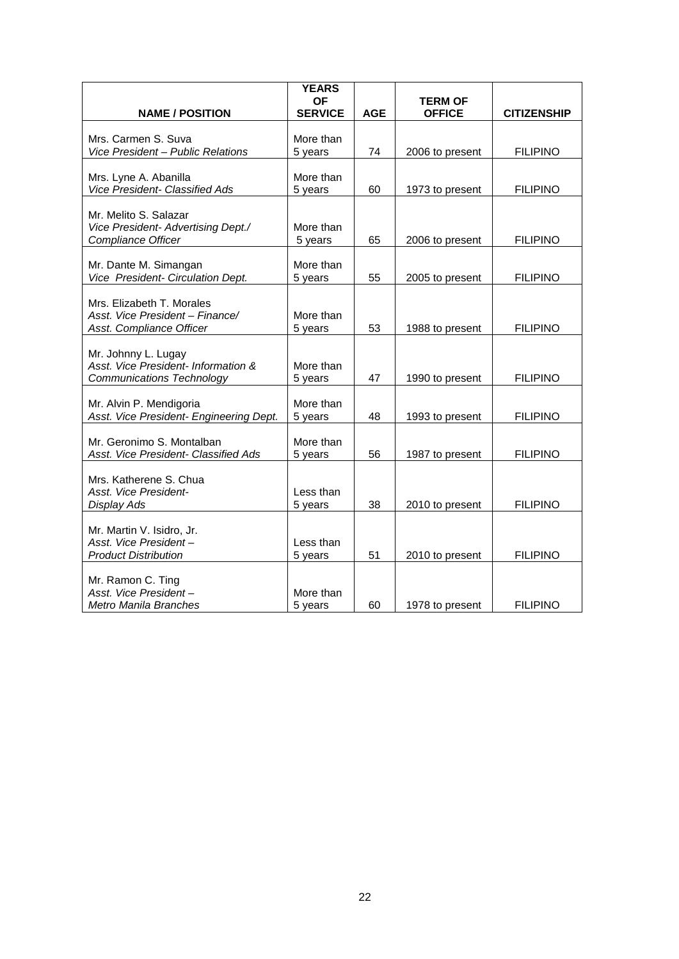|                                                             | <b>YEARS</b>         |            |                 |                    |
|-------------------------------------------------------------|----------------------|------------|-----------------|--------------------|
|                                                             | <b>OF</b>            |            | <b>TERM OF</b>  |                    |
| <b>NAME / POSITION</b>                                      | <b>SERVICE</b>       | <b>AGE</b> | <b>OFFICE</b>   | <b>CITIZENSHIP</b> |
| Mrs. Carmen S. Suva                                         | More than            |            |                 |                    |
| Vice President - Public Relations                           | 5 years              | 74         | 2006 to present | <b>FILIPINO</b>    |
|                                                             |                      |            |                 |                    |
| Mrs. Lyne A. Abanilla                                       | More than            |            |                 |                    |
| Vice President- Classified Ads                              | 5 years              | 60         | 1973 to present | <b>FILIPINO</b>    |
|                                                             |                      |            |                 |                    |
| Mr. Melito S. Salazar<br>Vice President- Advertising Dept./ | More than            |            |                 |                    |
| Compliance Officer                                          | 5 years              | 65         | 2006 to present | <b>FILIPINO</b>    |
|                                                             |                      |            |                 |                    |
| Mr. Dante M. Simangan                                       | More than            |            |                 |                    |
| Vice President- Circulation Dept.                           | 5 years              | 55         | 2005 to present | <b>FILIPINO</b>    |
| Mrs. Elizabeth T. Morales                                   |                      |            |                 |                    |
| Asst. Vice President - Finance/                             | More than            |            |                 |                    |
| Asst. Compliance Officer                                    | 5 years              | 53         | 1988 to present | <b>FILIPINO</b>    |
|                                                             |                      |            |                 |                    |
| Mr. Johnny L. Lugay                                         |                      |            |                 |                    |
| Asst. Vice President- Information &                         | More than            | 47         |                 |                    |
| <b>Communications Technology</b>                            | 5 years              |            | 1990 to present | <b>FILIPINO</b>    |
| Mr. Alvin P. Mendigoria                                     | More than            |            |                 |                    |
| Asst. Vice President- Engineering Dept.                     | 5 years              | 48         | 1993 to present | <b>FILIPINO</b>    |
|                                                             |                      |            |                 |                    |
| Mr. Geronimo S. Montalban                                   | More than            |            |                 |                    |
| Asst. Vice President- Classified Ads                        | 5 years              | 56         | 1987 to present | <b>FILIPINO</b>    |
| Mrs. Katherene S. Chua                                      |                      |            |                 |                    |
| Asst. Vice President-                                       | Less than            |            |                 |                    |
| Display Ads                                                 | 5 years              | 38         | 2010 to present | <b>FILIPINO</b>    |
|                                                             |                      |            |                 |                    |
| Mr. Martin V. Isidro, Jr.<br>Asst. Vice President-          |                      |            |                 |                    |
| <b>Product Distribution</b>                                 | Less than<br>5 years | 51         | 2010 to present | <b>FILIPINO</b>    |
|                                                             |                      |            |                 |                    |
| Mr. Ramon C. Ting                                           |                      |            |                 |                    |
| Asst. Vice President-                                       | More than            |            |                 |                    |
| Metro Manila Branches                                       | 5 years              | 60         | 1978 to present | <b>FILIPINO</b>    |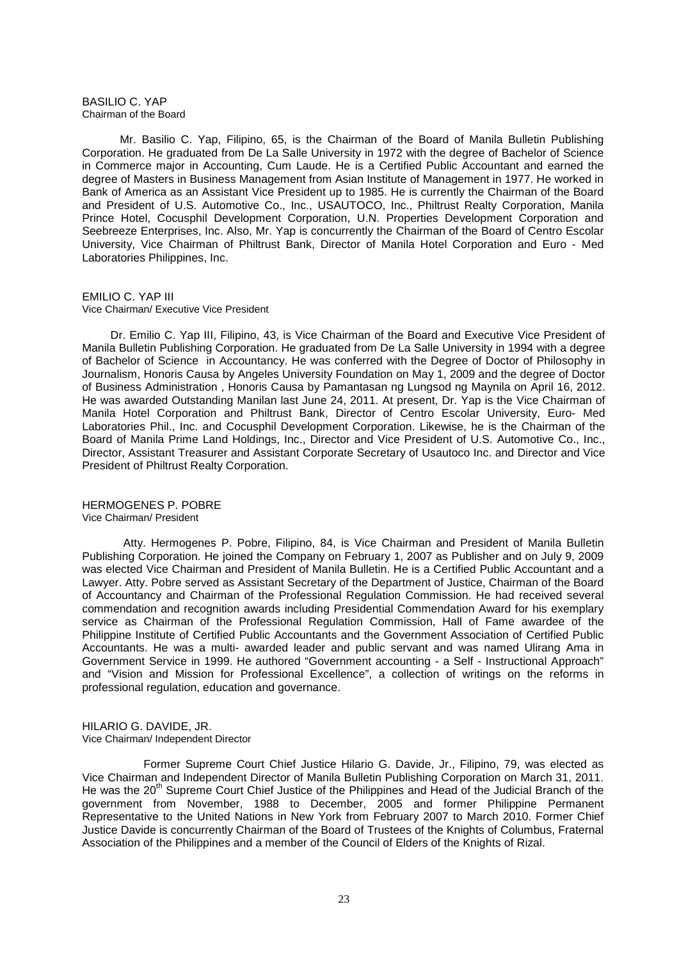#### BASILIO C. YAP Chairman of the Board

 Mr. Basilio C. Yap, Filipino, 65, is the Chairman of the Board of Manila Bulletin Publishing Corporation. He graduated from De La Salle University in 1972 with the degree of Bachelor of Science in Commerce major in Accounting, Cum Laude. He is a Certified Public Accountant and earned the degree of Masters in Business Management from Asian Institute of Management in 1977. He worked in Bank of America as an Assistant Vice President up to 1985. He is currently the Chairman of the Board and President of U.S. Automotive Co., Inc., USAUTOCO, Inc., Philtrust Realty Corporation, Manila Prince Hotel, Cocusphil Development Corporation, U.N. Properties Development Corporation and Seebreeze Enterprises, Inc. Also, Mr. Yap is concurrently the Chairman of the Board of Centro Escolar University, Vice Chairman of Philtrust Bank, Director of Manila Hotel Corporation and Euro - Med Laboratories Philippines, Inc.

# EMILIO C. YAP III

#### Vice Chairman/ Executive Vice President

 Dr. Emilio C. Yap III, Filipino, 43, is Vice Chairman of the Board and Executive Vice President of Manila Bulletin Publishing Corporation. He graduated from De La Salle University in 1994 with a degree of Bachelor of Science in Accountancy. He was conferred with the Degree of Doctor of Philosophy in Journalism, Honoris Causa by Angeles University Foundation on May 1, 2009 and the degree of Doctor of Business Administration , Honoris Causa by Pamantasan ng Lungsod ng Maynila on April 16, 2012. He was awarded Outstanding Manilan last June 24, 2011. At present, Dr. Yap is the Vice Chairman of Manila Hotel Corporation and Philtrust Bank, Director of Centro Escolar University, Euro- Med Laboratories Phil., Inc. and Cocusphil Development Corporation. Likewise, he is the Chairman of the Board of Manila Prime Land Holdings, Inc., Director and Vice President of U.S. Automotive Co., Inc., Director, Assistant Treasurer and Assistant Corporate Secretary of Usautoco Inc. and Director and Vice President of Philtrust Realty Corporation.

HERMOGENES P. POBRE Vice Chairman/ President

 Atty. Hermogenes P. Pobre, Filipino, 84, is Vice Chairman and President of Manila Bulletin Publishing Corporation. He joined the Company on February 1, 2007 as Publisher and on July 9, 2009 was elected Vice Chairman and President of Manila Bulletin. He is a Certified Public Accountant and a Lawyer. Atty. Pobre served as Assistant Secretary of the Department of Justice, Chairman of the Board of Accountancy and Chairman of the Professional Regulation Commission. He had received several commendation and recognition awards including Presidential Commendation Award for his exemplary service as Chairman of the Professional Regulation Commission, Hall of Fame awardee of the Philippine Institute of Certified Public Accountants and the Government Association of Certified Public Accountants. He was a multi- awarded leader and public servant and was named Ulirang Ama in Government Service in 1999. He authored "Government accounting - a Self - Instructional Approach" and "Vision and Mission for Professional Excellence", a collection of writings on the reforms in professional regulation, education and governance.

### HILARIO G. DAVIDE, JR. Vice Chairman/ Independent Director

 Former Supreme Court Chief Justice Hilario G. Davide, Jr., Filipino, 79, was elected as Vice Chairman and Independent Director of Manila Bulletin Publishing Corporation on March 31, 2011. He was the 20<sup>th</sup> Supreme Court Chief Justice of the Philippines and Head of the Judicial Branch of the government from November, 1988 to December, 2005 and former Philippine Permanent Representative to the United Nations in New York from February 2007 to March 2010. Former Chief Justice Davide is concurrently Chairman of the Board of Trustees of the Knights of Columbus, Fraternal Association of the Philippines and a member of the Council of Elders of the Knights of Rizal.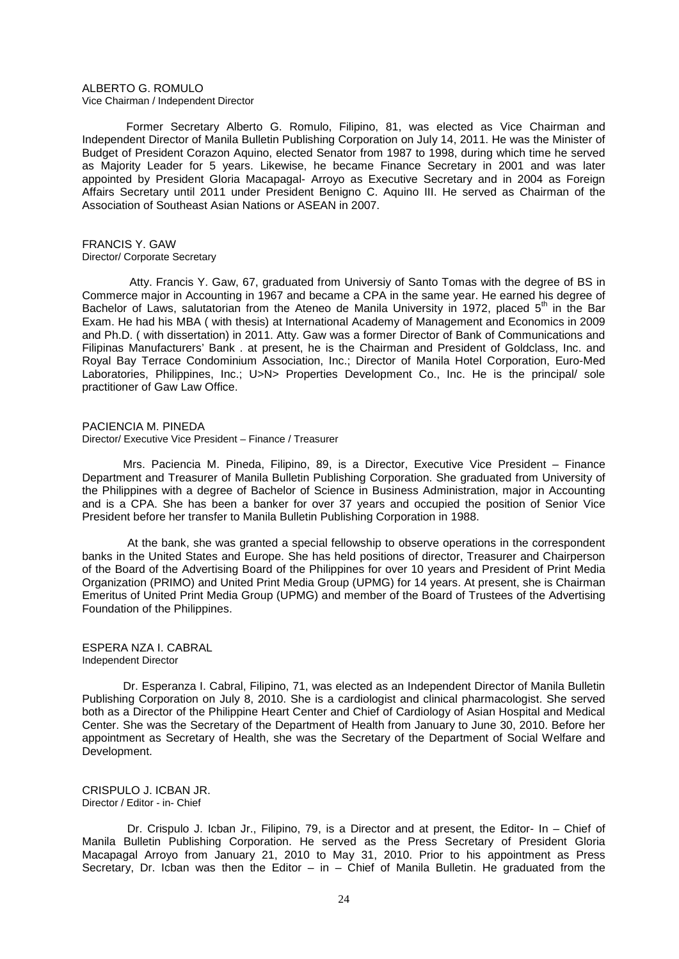# ALBERTO G. ROMULO

Vice Chairman / Independent Director

 Former Secretary Alberto G. Romulo, Filipino, 81, was elected as Vice Chairman and Independent Director of Manila Bulletin Publishing Corporation on July 14, 2011. He was the Minister of Budget of President Corazon Aquino, elected Senator from 1987 to 1998, during which time he served as Majority Leader for 5 years. Likewise, he became Finance Secretary in 2001 and was later appointed by President Gloria Macapagal- Arroyo as Executive Secretary and in 2004 as Foreign Affairs Secretary until 2011 under President Benigno C. Aquino III. He served as Chairman of the Association of Southeast Asian Nations or ASEAN in 2007.

#### FRANCIS Y. GAW Director/ Corporate Secretary

 Atty. Francis Y. Gaw, 67, graduated from Universiy of Santo Tomas with the degree of BS in Commerce major in Accounting in 1967 and became a CPA in the same year. He earned his degree of Bachelor of Laws, salutatorian from the Ateneo de Manila University in 1972, placed 5<sup>th</sup> in the Bar Exam. He had his MBA ( with thesis) at International Academy of Management and Economics in 2009 and Ph.D. ( with dissertation) in 2011. Atty. Gaw was a former Director of Bank of Communications and Filipinas Manufacturers' Bank . at present, he is the Chairman and President of Goldclass, Inc. and Royal Bay Terrace Condominium Association, Inc.; Director of Manila Hotel Corporation, Euro-Med Laboratories, Philippines, Inc.; U>N> Properties Development Co., Inc. He is the principal/ sole practitioner of Gaw Law Office.

#### PACIENCIA M. PINEDA Director/ Executive Vice President – Finance / Treasurer

 Mrs. Paciencia M. Pineda, Filipino, 89, is a Director, Executive Vice President – Finance Department and Treasurer of Manila Bulletin Publishing Corporation. She graduated from University of the Philippines with a degree of Bachelor of Science in Business Administration, major in Accounting and is a CPA. She has been a banker for over 37 years and occupied the position of Senior Vice President before her transfer to Manila Bulletin Publishing Corporation in 1988.

 At the bank, she was granted a special fellowship to observe operations in the correspondent banks in the United States and Europe. She has held positions of director, Treasurer and Chairperson of the Board of the Advertising Board of the Philippines for over 10 years and President of Print Media Organization (PRIMO) and United Print Media Group (UPMG) for 14 years. At present, she is Chairman Emeritus of United Print Media Group (UPMG) and member of the Board of Trustees of the Advertising Foundation of the Philippines.

## ESPERA NZA I. CABRAL Independent Director

 Dr. Esperanza I. Cabral, Filipino, 71, was elected as an Independent Director of Manila Bulletin Publishing Corporation on July 8, 2010. She is a cardiologist and clinical pharmacologist. She served both as a Director of the Philippine Heart Center and Chief of Cardiology of Asian Hospital and Medical Center. She was the Secretary of the Department of Health from January to June 30, 2010. Before her appointment as Secretary of Health, she was the Secretary of the Department of Social Welfare and Development.

## CRISPULO J. ICBAN JR. Director / Editor - in- Chief

 Dr. Crispulo J. Icban Jr., Filipino, 79, is a Director and at present, the Editor- In – Chief of Manila Bulletin Publishing Corporation. He served as the Press Secretary of President Gloria Macapagal Arroyo from January 21, 2010 to May 31, 2010. Prior to his appointment as Press Secretary, Dr. Icban was then the Editor – in – Chief of Manila Bulletin. He graduated from the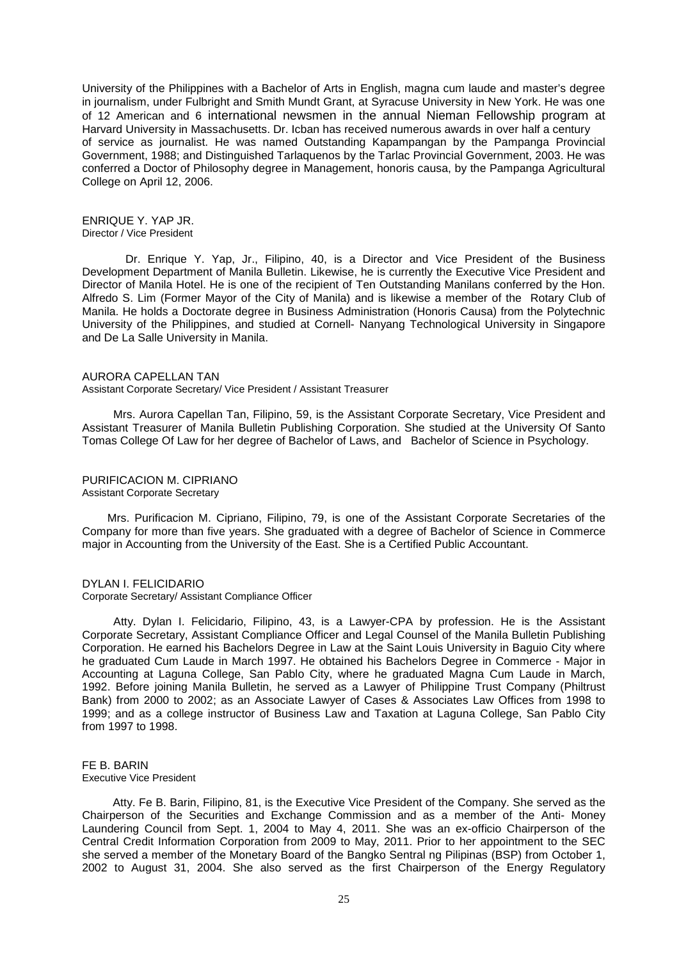University of the Philippines with a Bachelor of Arts in English, magna cum laude and master's degree in journalism, under Fulbright and Smith Mundt Grant, at Syracuse University in New York. He was one of 12 American and 6 international newsmen in the annual Nieman Fellowship program at Harvard University in Massachusetts. Dr. Icban has received numerous awards in over half a century of service as journalist. He was named Outstanding Kapampangan by the Pampanga Provincial Government, 1988; and Distinguished Tarlaquenos by the Tarlac Provincial Government, 2003. He was conferred a Doctor of Philosophy degree in Management, honoris causa, by the Pampanga Agricultural College on April 12, 2006.

ENRIQUE Y. YAP JR. Director / Vice President

 Dr. Enrique Y. Yap, Jr., Filipino, 40, is a Director and Vice President of the Business Development Department of Manila Bulletin. Likewise, he is currently the Executive Vice President and Director of Manila Hotel. He is one of the recipient of Ten Outstanding Manilans conferred by the Hon. Alfredo S. Lim (Former Mayor of the City of Manila) and is likewise a member of the Rotary Club of Manila. He holds a Doctorate degree in Business Administration (Honoris Causa) from the Polytechnic University of the Philippines, and studied at Cornell- Nanyang Technological University in Singapore and De La Salle University in Manila.

#### AURORA CAPELLAN TAN

Assistant Corporate Secretary/ Vice President / Assistant Treasurer

 Mrs. Aurora Capellan Tan, Filipino, 59, is the Assistant Corporate Secretary, Vice President and Assistant Treasurer of Manila Bulletin Publishing Corporation. She studied at the University Of Santo Tomas College Of Law for her degree of Bachelor of Laws, and Bachelor of Science in Psychology.

#### PURIFICACION M. CIPRIANO Assistant Corporate Secretary

 Mrs. Purificacion M. Cipriano, Filipino, 79, is one of the Assistant Corporate Secretaries of the Company for more than five years. She graduated with a degree of Bachelor of Science in Commerce major in Accounting from the University of the East. She is a Certified Public Accountant.

#### DYLAN I. FELICIDARIO

Corporate Secretary/ Assistant Compliance Officer

 Atty. Dylan I. Felicidario, Filipino, 43, is a Lawyer-CPA by profession. He is the Assistant Corporate Secretary, Assistant Compliance Officer and Legal Counsel of the Manila Bulletin Publishing Corporation. He earned his Bachelors Degree in Law at the Saint Louis University in Baguio City where he graduated Cum Laude in March 1997. He obtained his Bachelors Degree in Commerce - Major in Accounting at Laguna College, San Pablo City, where he graduated Magna Cum Laude in March, 1992. Before joining Manila Bulletin, he served as a Lawyer of Philippine Trust Company (Philtrust Bank) from 2000 to 2002; as an Associate Lawyer of Cases & Associates Law Offices from 1998 to 1999; and as a college instructor of Business Law and Taxation at Laguna College, San Pablo City from 1997 to 1998.

# FF B. BARIN

Executive Vice President

Atty. Fe B. Barin, Filipino, 81, is the Executive Vice President of the Company. She served as the Chairperson of the Securities and Exchange Commission and as a member of the Anti- Money Laundering Council from Sept. 1, 2004 to May 4, 2011. She was an ex-officio Chairperson of the Central Credit Information Corporation from 2009 to May, 2011. Prior to her appointment to the SEC she served a member of the Monetary Board of the Bangko Sentral ng Pilipinas (BSP) from October 1, 2002 to August 31, 2004. She also served as the first Chairperson of the Energy Regulatory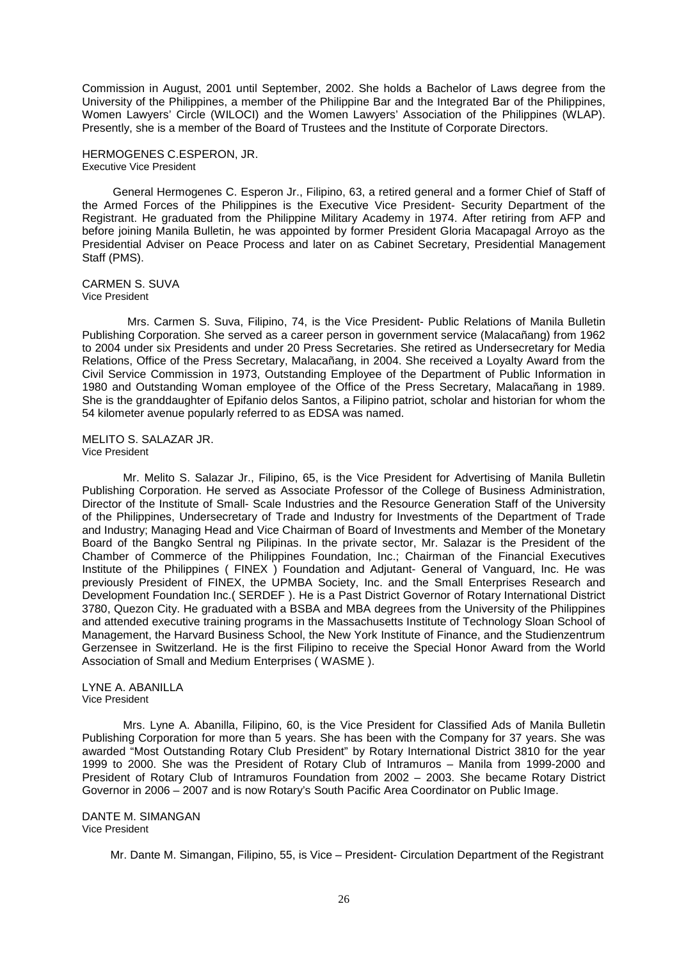Commission in August, 2001 until September, 2002. She holds a Bachelor of Laws degree from the University of the Philippines, a member of the Philippine Bar and the Integrated Bar of the Philippines, Women Lawyers' Circle (WILOCI) and the Women Lawyers' Association of the Philippines (WLAP). Presently, she is a member of the Board of Trustees and the Institute of Corporate Directors.

HERMOGENES C.ESPERON, JR. Executive Vice President

General Hermogenes C. Esperon Jr., Filipino, 63, a retired general and a former Chief of Staff of the Armed Forces of the Philippines is the Executive Vice President- Security Department of the Registrant. He graduated from the Philippine Military Academy in 1974. After retiring from AFP and before joining Manila Bulletin, he was appointed by former President Gloria Macapagal Arroyo as the Presidential Adviser on Peace Process and later on as Cabinet Secretary, Presidential Management Staff (PMS).

CARMEN S. SUVA Vice President

 Mrs. Carmen S. Suva, Filipino, 74, is the Vice President- Public Relations of Manila Bulletin Publishing Corporation. She served as a career person in government service (Malacañang) from 1962 to 2004 under six Presidents and under 20 Press Secretaries. She retired as Undersecretary for Media Relations, Office of the Press Secretary, Malacañang, in 2004. She received a Loyalty Award from the Civil Service Commission in 1973, Outstanding Employee of the Department of Public Information in 1980 and Outstanding Woman employee of the Office of the Press Secretary, Malacañang in 1989. She is the granddaughter of Epifanio delos Santos, a Filipino patriot, scholar and historian for whom the 54 kilometer avenue popularly referred to as EDSA was named.

MELITO S. SALAZAR JR. Vice President

 Mr. Melito S. Salazar Jr., Filipino, 65, is the Vice President for Advertising of Manila Bulletin Publishing Corporation. He served as Associate Professor of the College of Business Administration, Director of the Institute of Small- Scale Industries and the Resource Generation Staff of the University of the Philippines, Undersecretary of Trade and Industry for Investments of the Department of Trade and Industry; Managing Head and Vice Chairman of Board of Investments and Member of the Monetary Board of the Bangko Sentral ng Pilipinas. In the private sector, Mr. Salazar is the President of the Chamber of Commerce of the Philippines Foundation, Inc.; Chairman of the Financial Executives Institute of the Philippines ( FINEX ) Foundation and Adjutant- General of Vanguard, Inc. He was previously President of FINEX, the UPMBA Society, Inc. and the Small Enterprises Research and Development Foundation Inc.( SERDEF ). He is a Past District Governor of Rotary International District 3780, Quezon City. He graduated with a BSBA and MBA degrees from the University of the Philippines and attended executive training programs in the Massachusetts Institute of Technology Sloan School of Management, the Harvard Business School, the New York Institute of Finance, and the Studienzentrum Gerzensee in Switzerland. He is the first Filipino to receive the Special Honor Award from the World Association of Small and Medium Enterprises ( WASME ).

LYNE A. ABANILLA Vice President

 Mrs. Lyne A. Abanilla, Filipino, 60, is the Vice President for Classified Ads of Manila Bulletin Publishing Corporation for more than 5 years. She has been with the Company for 37 years. She was awarded "Most Outstanding Rotary Club President" by Rotary International District 3810 for the year 1999 to 2000. She was the President of Rotary Club of Intramuros – Manila from 1999-2000 and President of Rotary Club of Intramuros Foundation from 2002 – 2003. She became Rotary District Governor in 2006 – 2007 and is now Rotary's South Pacific Area Coordinator on Public Image.

DANTE M. SIMANGAN Vice President

Mr. Dante M. Simangan, Filipino, 55, is Vice – President- Circulation Department of the Registrant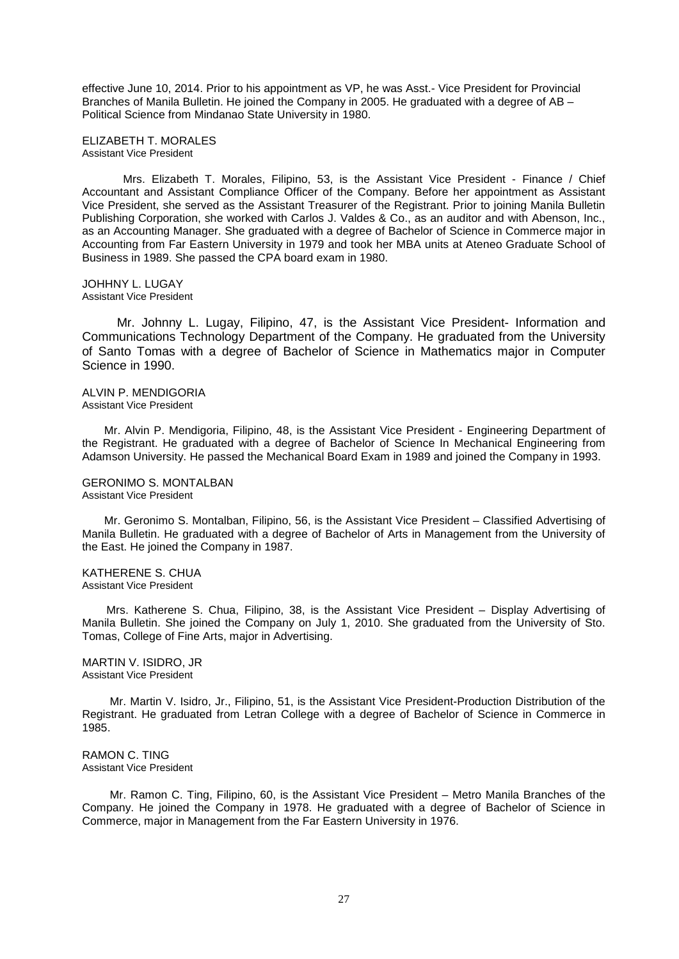effective June 10, 2014. Prior to his appointment as VP, he was Asst.- Vice President for Provincial Branches of Manila Bulletin. He joined the Company in 2005. He graduated with a degree of AB – Political Science from Mindanao State University in 1980.

ELIZABETH T. MORALES Assistant Vice President

 Mrs. Elizabeth T. Morales, Filipino, 53, is the Assistant Vice President - Finance / Chief Accountant and Assistant Compliance Officer of the Company. Before her appointment as Assistant Vice President, she served as the Assistant Treasurer of the Registrant. Prior to joining Manila Bulletin Publishing Corporation, she worked with Carlos J. Valdes & Co., as an auditor and with Abenson, Inc., as an Accounting Manager. She graduated with a degree of Bachelor of Science in Commerce major in Accounting from Far Eastern University in 1979 and took her MBA units at Ateneo Graduate School of Business in 1989. She passed the CPA board exam in 1980.

JOHHNY L. LUGAY Assistant Vice President

 Mr. Johnny L. Lugay, Filipino, 47, is the Assistant Vice President- Information and Communications Technology Department of the Company. He graduated from the University of Santo Tomas with a degree of Bachelor of Science in Mathematics major in Computer Science in 1990.

ALVIN P. MENDIGORIA Assistant Vice President

 Mr. Alvin P. Mendigoria, Filipino, 48, is the Assistant Vice President - Engineering Department of the Registrant. He graduated with a degree of Bachelor of Science In Mechanical Engineering from Adamson University. He passed the Mechanical Board Exam in 1989 and joined the Company in 1993.

#### GERONIMO S. MONTALBAN Assistant Vice President

 Mr. Geronimo S. Montalban, Filipino, 56, is the Assistant Vice President – Classified Advertising of Manila Bulletin. He graduated with a degree of Bachelor of Arts in Management from the University of the East. He joined the Company in 1987.

#### KATHERENE S. CHUA Assistant Vice President

 Mrs. Katherene S. Chua, Filipino, 38, is the Assistant Vice President – Display Advertising of Manila Bulletin. She joined the Company on July 1, 2010. She graduated from the University of Sto. Tomas, College of Fine Arts, major in Advertising.

MARTIN V. ISIDRO, JR Assistant Vice President

 Mr. Martin V. Isidro, Jr., Filipino, 51, is the Assistant Vice President-Production Distribution of the Registrant. He graduated from Letran College with a degree of Bachelor of Science in Commerce in 1985.

RAMON C. TING Assistant Vice President

 Mr. Ramon C. Ting, Filipino, 60, is the Assistant Vice President – Metro Manila Branches of the Company. He joined the Company in 1978. He graduated with a degree of Bachelor of Science in Commerce, major in Management from the Far Eastern University in 1976.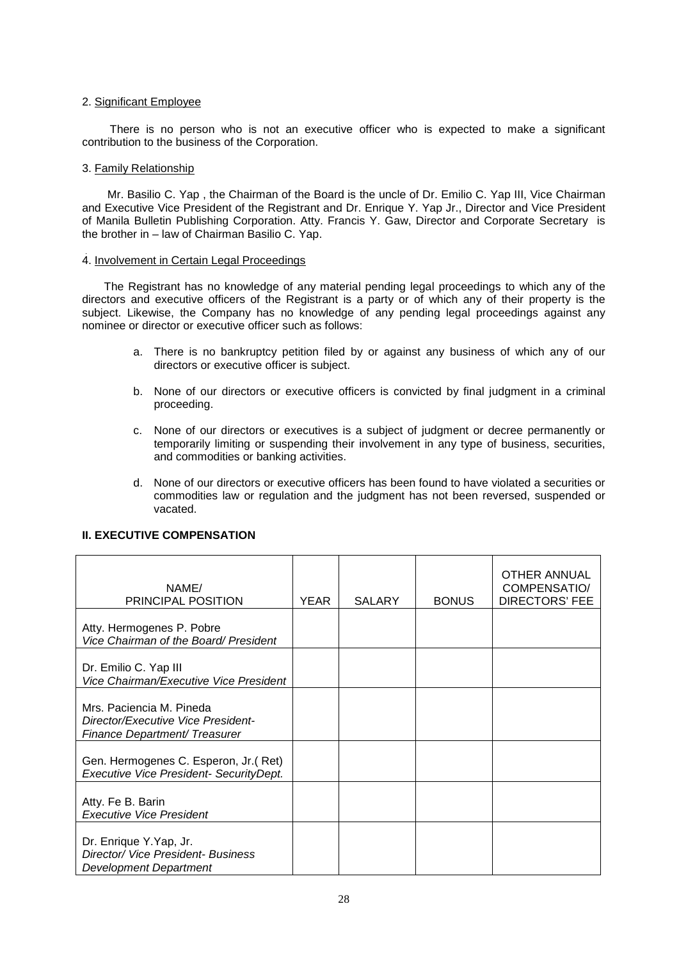## 2. Significant Employee

 There is no person who is not an executive officer who is expected to make a significant contribution to the business of the Corporation.

## 3. Family Relationship

 Mr. Basilio C. Yap , the Chairman of the Board is the uncle of Dr. Emilio C. Yap III, Vice Chairman and Executive Vice President of the Registrant and Dr. Enrique Y. Yap Jr., Director and Vice President of Manila Bulletin Publishing Corporation. Atty. Francis Y. Gaw, Director and Corporate Secretary is the brother in – law of Chairman Basilio C. Yap.

## 4. Involvement in Certain Legal Proceedings

 The Registrant has no knowledge of any material pending legal proceedings to which any of the directors and executive officers of the Registrant is a party or of which any of their property is the subject. Likewise, the Company has no knowledge of any pending legal proceedings against any nominee or director or executive officer such as follows:

- a. There is no bankruptcy petition filed by or against any business of which any of our directors or executive officer is subject.
- b. None of our directors or executive officers is convicted by final judgment in a criminal proceeding.
- c. None of our directors or executives is a subject of judgment or decree permanently or temporarily limiting or suspending their involvement in any type of business, securities, and commodities or banking activities.
- d. None of our directors or executive officers has been found to have violated a securities or commodities law or regulation and the judgment has not been reversed, suspended or vacated.

| NAME/<br><b>PRINCIPAL POSITION</b>                                                                     | <b>YEAR</b> | <b>SALARY</b> | <b>BONUS</b> | <b>OTHER ANNUAL</b><br><b>COMPENSATIO/</b><br><b>DIRECTORS' FEE</b> |
|--------------------------------------------------------------------------------------------------------|-------------|---------------|--------------|---------------------------------------------------------------------|
| Atty. Hermogenes P. Pobre<br>Vice Chairman of the Board/ President                                     |             |               |              |                                                                     |
| Dr. Emilio C. Yap III<br>Vice Chairman/Executive Vice President                                        |             |               |              |                                                                     |
| Mrs. Paciencia M. Pineda<br>Director/Executive Vice President-<br><b>Finance Department/ Treasurer</b> |             |               |              |                                                                     |
| Gen. Hermogenes C. Esperon, Jr. (Ret)<br>Executive Vice President- SecurityDept.                       |             |               |              |                                                                     |
| Atty. Fe B. Barin<br><b>Executive Vice President</b>                                                   |             |               |              |                                                                     |
| Dr. Enrique Y.Yap, Jr.<br>Director/ Vice President- Business<br><b>Development Department</b>          |             |               |              |                                                                     |

## **II. EXECUTIVE COMPENSATION**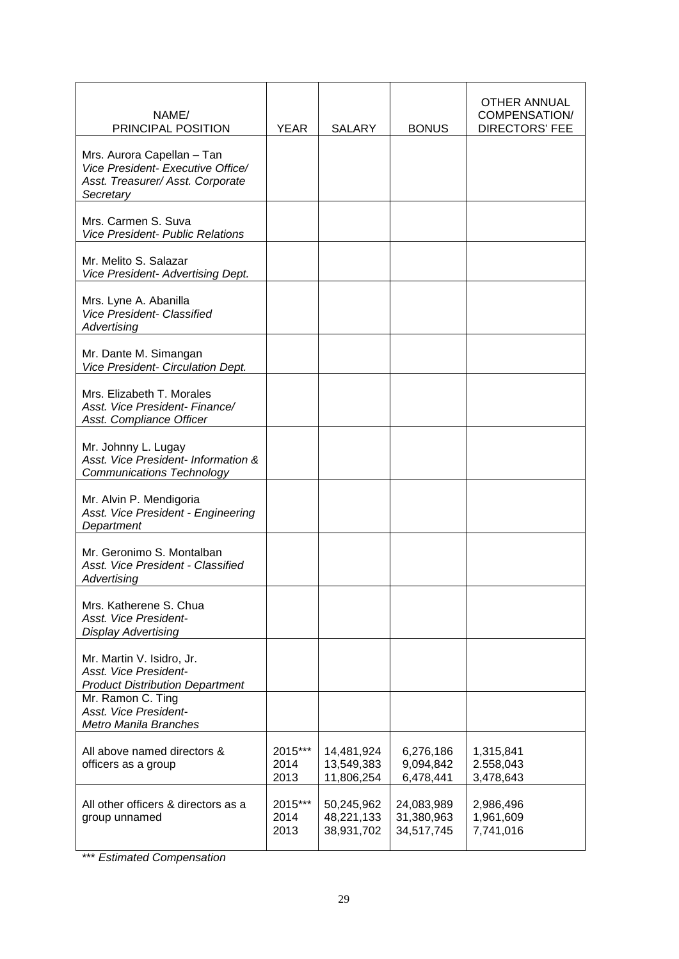| NAME/<br>PRINCIPAL POSITION                                                                                      | YEAR                    | <b>SALARY</b>                          | <b>BONUS</b>                           | <b>OTHER ANNUAL</b><br><b>COMPENSATION/</b><br><b>DIRECTORS' FEE</b> |
|------------------------------------------------------------------------------------------------------------------|-------------------------|----------------------------------------|----------------------------------------|----------------------------------------------------------------------|
| Mrs. Aurora Capellan - Tan<br>Vice President- Executive Office/<br>Asst. Treasurer/ Asst. Corporate<br>Secretary |                         |                                        |                                        |                                                                      |
| Mrs. Carmen S. Suva<br><b>Vice President- Public Relations</b>                                                   |                         |                                        |                                        |                                                                      |
| Mr. Melito S. Salazar<br>Vice President- Advertising Dept.                                                       |                         |                                        |                                        |                                                                      |
| Mrs. Lyne A. Abanilla<br>Vice President- Classified<br>Advertising                                               |                         |                                        |                                        |                                                                      |
| Mr. Dante M. Simangan<br>Vice President- Circulation Dept.                                                       |                         |                                        |                                        |                                                                      |
| Mrs. Elizabeth T. Morales<br>Asst. Vice President- Finance/<br>Asst. Compliance Officer                          |                         |                                        |                                        |                                                                      |
| Mr. Johnny L. Lugay<br>Asst. Vice President- Information &<br><b>Communications Technology</b>                   |                         |                                        |                                        |                                                                      |
| Mr. Alvin P. Mendigoria<br>Asst. Vice President - Engineering<br>Department                                      |                         |                                        |                                        |                                                                      |
| Mr. Geronimo S. Montalban<br>Asst. Vice President - Classified<br>Advertising                                    |                         |                                        |                                        |                                                                      |
| Mrs. Katherene S. Chua<br>Asst. Vice President-<br><b>Display Advertising</b>                                    |                         |                                        |                                        |                                                                      |
| Mr. Martin V. Isidro, Jr.<br>Asst. Vice President-<br><b>Product Distribution Department</b>                     |                         |                                        |                                        |                                                                      |
| Mr. Ramon C. Ting<br>Asst. Vice President-<br><b>Metro Manila Branches</b>                                       |                         |                                        |                                        |                                                                      |
| All above named directors &<br>officers as a group                                                               | 2015***<br>2014<br>2013 | 14,481,924<br>13,549,383<br>11,806,254 | 6,276,186<br>9,094,842<br>6,478,441    | 1,315,841<br>2.558,043<br>3,478,643                                  |
| All other officers & directors as a<br>group unnamed                                                             | 2015***<br>2014<br>2013 | 50,245,962<br>48,221,133<br>38,931,702 | 24,083,989<br>31,380,963<br>34,517,745 | 2,986,496<br>1,961,609<br>7,741,016                                  |

\*\*\* *Estimated Compensation*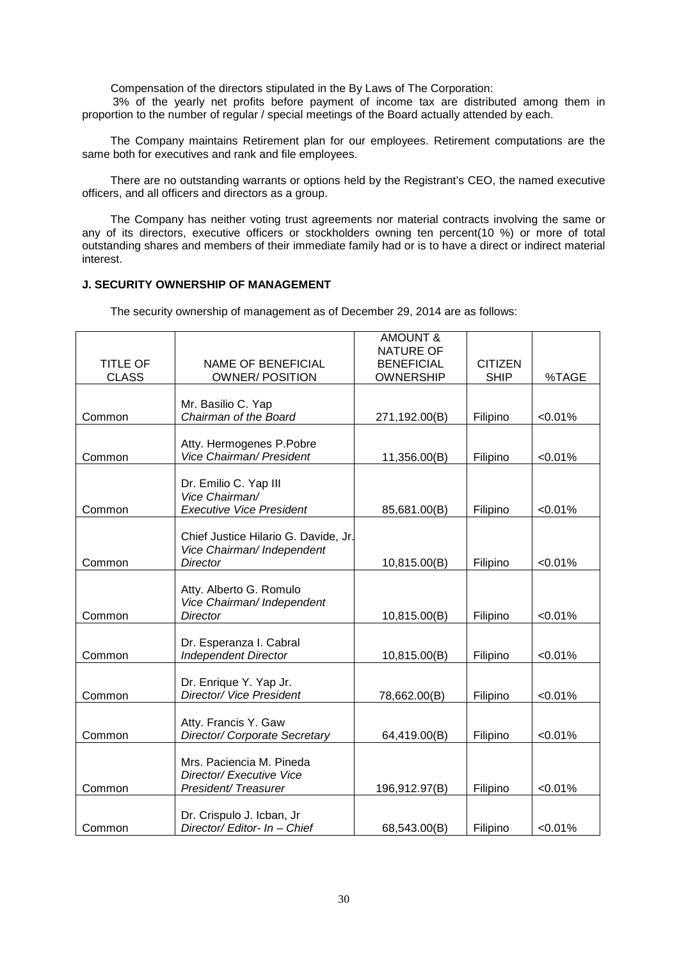Compensation of the directors stipulated in the By Laws of The Corporation:

3% of the yearly net profits before payment of income tax are distributed among them in proportion to the number of regular / special meetings of the Board actually attended by each.

 The Company maintains Retirement plan for our employees. Retirement computations are the same both for executives and rank and file employees.

 There are no outstanding warrants or options held by the Registrant's CEO, the named executive officers, and all officers and directors as a group.

 The Company has neither voting trust agreements nor material contracts involving the same or any of its directors, executive officers or stockholders owning ten percent(10 %) or more of total outstanding shares and members of their immediate family had or is to have a direct or indirect material interest.

## **J. SECURITY OWNERSHIP OF MANAGEMENT**

The security ownership of management as of December 29, 2014 are as follows:

|                                 |                                                                                       | <b>AMOUNT &amp;</b><br><b>NATURE OF</b> |                               |         |
|---------------------------------|---------------------------------------------------------------------------------------|-----------------------------------------|-------------------------------|---------|
| <b>TITLE OF</b><br><b>CLASS</b> | <b>NAME OF BENEFICIAL</b><br><b>OWNER/POSITION</b>                                    | <b>BENEFICIAL</b><br><b>OWNERSHIP</b>   | <b>CITIZEN</b><br><b>SHIP</b> | %TAGE   |
| Common                          | Mr. Basilio C. Yap<br>Chairman of the Board                                           | 271,192.00(B)                           | Filipino                      | < 0.01% |
| Common                          | Atty. Hermogenes P.Pobre<br>Vice Chairman/ President                                  | 11,356.00(B)                            | Filipino                      | < 0.01% |
| Common                          | Dr. Emilio C. Yap III<br>Vice Chairman/<br><b>Executive Vice President</b>            | 85,681.00(B)                            | Filipino                      | < 0.01% |
| Common                          | Chief Justice Hilario G. Davide, Jr.<br>Vice Chairman/ Independent<br><b>Director</b> | 10,815.00(B)                            | Filipino                      | < 0.01% |
| Common                          | Atty. Alberto G. Romulo<br>Vice Chairman/ Independent<br><b>Director</b>              | 10,815.00(B)                            | Filipino                      | < 0.01% |
| Common                          | Dr. Esperanza I. Cabral<br><b>Independent Director</b>                                | 10,815.00(B)                            | Filipino                      | < 0.01% |
| Common                          | Dr. Enrique Y. Yap Jr.<br>Director/ Vice President                                    | 78,662.00(B)                            | Filipino                      | < 0.01% |
| Common                          | Atty. Francis Y. Gaw<br>Director/ Corporate Secretary                                 | 64,419.00(B)                            | Filipino                      | < 0.01% |
| Common                          | Mrs. Paciencia M. Pineda<br>Director/ Executive Vice<br>President/Treasurer           | 196,912.97(B)                           | Filipino                      | < 0.01% |
| Common                          | Dr. Crispulo J. Icban, Jr<br>Director/ Editor- In - Chief                             | 68,543.00(B)                            | Filipino                      | < 0.01% |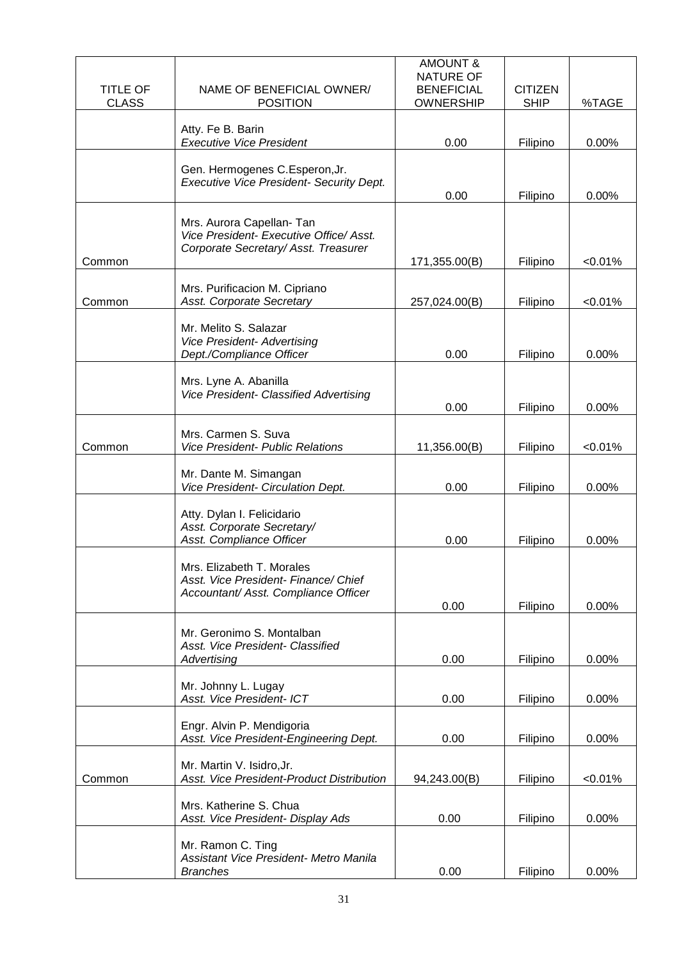| <b>TITLE OF</b><br><b>CLASS</b> | NAME OF BENEFICIAL OWNER/<br><b>POSITION</b>                                                                 | <b>AMOUNT &amp;</b><br>NATURE OF<br><b>BENEFICIAL</b><br><b>OWNERSHIP</b> | <b>CITIZEN</b><br><b>SHIP</b> | %TAGE   |
|---------------------------------|--------------------------------------------------------------------------------------------------------------|---------------------------------------------------------------------------|-------------------------------|---------|
|                                 | Atty. Fe B. Barin<br><b>Executive Vice President</b>                                                         | 0.00                                                                      | Filipino                      | 0.00%   |
|                                 | Gen. Hermogenes C.Esperon, Jr.<br>Executive Vice President- Security Dept.                                   | 0.00                                                                      | Filipino                      | 0.00%   |
| Common                          | Mrs. Aurora Capellan- Tan<br>Vice President- Executive Office/ Asst.<br>Corporate Secretary/ Asst. Treasurer | 171,355.00(B)                                                             | Filipino                      | < 0.01% |
| Common                          | Mrs. Purificacion M. Cipriano<br>Asst. Corporate Secretary                                                   | 257,024.00(B)                                                             | Filipino                      | < 0.01% |
|                                 | Mr. Melito S. Salazar<br><b>Vice President- Advertising</b><br>Dept./Compliance Officer                      | 0.00                                                                      | Filipino                      | 0.00%   |
|                                 | Mrs. Lyne A. Abanilla<br>Vice President- Classified Advertising                                              | 0.00                                                                      | Filipino                      | 0.00%   |
| Common                          | Mrs. Carmen S. Suva<br><b>Vice President- Public Relations</b>                                               | 11,356.00(B)                                                              | Filipino                      | < 0.01% |
|                                 | Mr. Dante M. Simangan<br>Vice President- Circulation Dept.                                                   | 0.00                                                                      | Filipino                      | 0.00%   |
|                                 | Atty. Dylan I. Felicidario<br>Asst. Corporate Secretary/<br>Asst. Compliance Officer                         | 0.00                                                                      | Filipino                      | 0.00%   |
|                                 | Mrs. Elizabeth T. Morales<br>Asst. Vice President- Finance/ Chief<br>Accountant/ Asst. Compliance Officer    | 0.00                                                                      | Filipino                      | 0.00%   |
|                                 | Mr. Geronimo S. Montalban<br>Asst. Vice President- Classified<br>Advertising                                 | 0.00                                                                      | Filipino                      | 0.00%   |
|                                 | Mr. Johnny L. Lugay<br>Asst. Vice President- ICT                                                             | 0.00                                                                      | Filipino                      | 0.00%   |
|                                 | Engr. Alvin P. Mendigoria<br>Asst. Vice President-Engineering Dept.                                          | 0.00                                                                      | Filipino                      | 0.00%   |
| Common                          | Mr. Martin V. Isidro, Jr.<br>Asst. Vice President-Product Distribution                                       | 94,243.00(B)                                                              | Filipino                      | < 0.01% |
|                                 | Mrs. Katherine S. Chua<br>Asst. Vice President- Display Ads                                                  | 0.00                                                                      | Filipino                      | 0.00%   |
|                                 | Mr. Ramon C. Ting<br>Assistant Vice President- Metro Manila<br><b>Branches</b>                               | 0.00                                                                      | Filipino                      | 0.00%   |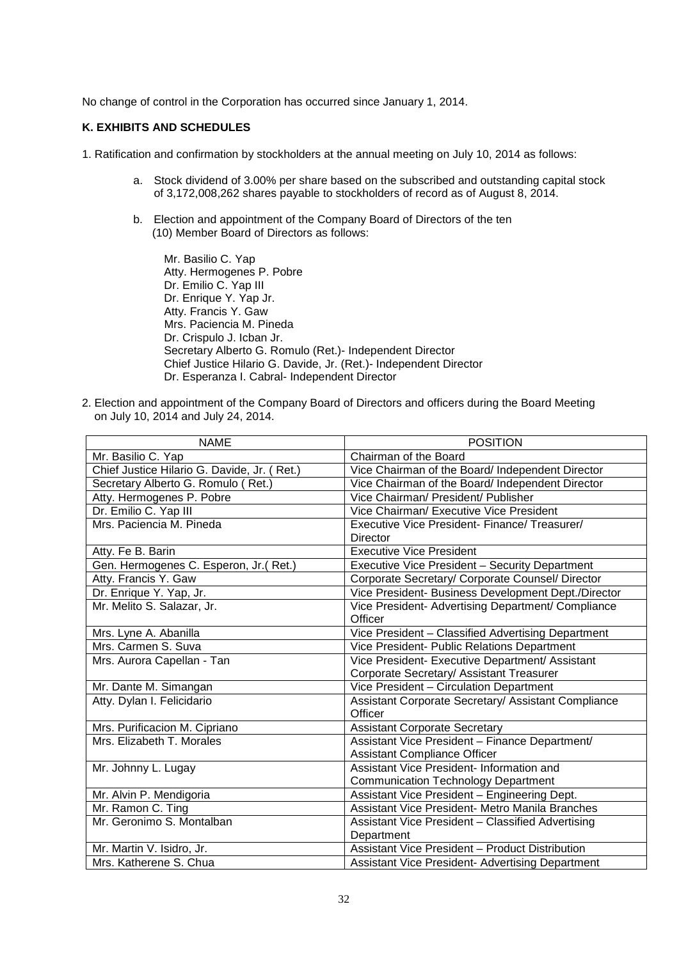No change of control in the Corporation has occurred since January 1, 2014.

# **K. EXHIBITS AND SCHEDULES**

- 1. Ratification and confirmation by stockholders at the annual meeting on July 10, 2014 as follows:
	- a. Stock dividend of 3.00% per share based on the subscribed and outstanding capital stock of 3,172,008,262 shares payable to stockholders of record as of August 8, 2014.
	- b. Election and appointment of the Company Board of Directors of the ten (10) Member Board of Directors as follows:

Mr. Basilio C. Yap Atty. Hermogenes P. Pobre Dr. Emilio C. Yap III Dr. Enrique Y. Yap Jr. Atty. Francis Y. Gaw Mrs. Paciencia M. Pineda Dr. Crispulo J. Icban Jr. Secretary Alberto G. Romulo (Ret.)- Independent Director Chief Justice Hilario G. Davide, Jr. (Ret.)- Independent Director Dr. Esperanza I. Cabral- Independent Director

2. Election and appointment of the Company Board of Directors and officers during the Board Meeting on July 10, 2014 and July 24, 2014.

| <b>NAME</b>                                 | <b>POSITION</b>                                                  |
|---------------------------------------------|------------------------------------------------------------------|
| Mr. Basilio C. Yap                          | Chairman of the Board                                            |
| Chief Justice Hilario G. Davide, Jr. (Ret.) | Vice Chairman of the Board/ Independent Director                 |
| Secretary Alberto G. Romulo (Ret.)          | Vice Chairman of the Board/ Independent Director                 |
| Atty. Hermogenes P. Pobre                   | Vice Chairman/ President/ Publisher                              |
| Dr. Emilio C. Yap III                       | Vice Chairman/ Executive Vice President                          |
| Mrs. Paciencia M. Pineda                    | Executive Vice President- Finance/ Treasurer/<br><b>Director</b> |
| Atty. Fe B. Barin                           | <b>Executive Vice President</b>                                  |
| Gen. Hermogenes C. Esperon, Jr.(Ret.)       | Executive Vice President - Security Department                   |
| Atty. Francis Y. Gaw                        | Corporate Secretary/ Corporate Counsel/ Director                 |
| Dr. Enrique Y. Yap, Jr.                     | Vice President- Business Development Dept./Director              |
| Mr. Melito S. Salazar, Jr.                  | Vice President- Advertising Department/ Compliance               |
|                                             | Officer                                                          |
| Mrs. Lyne A. Abanilla                       | Vice President - Classified Advertising Department               |
| Mrs. Carmen S. Suva                         | Vice President- Public Relations Department                      |
| Mrs. Aurora Capellan - Tan                  | Vice President- Executive Department/ Assistant                  |
|                                             | Corporate Secretary/ Assistant Treasurer                         |
| Mr. Dante M. Simangan                       | Vice President - Circulation Department                          |
| Atty. Dylan I. Felicidario                  | Assistant Corporate Secretary/ Assistant Compliance<br>Officer   |
| Mrs. Purificacion M. Cipriano               | <b>Assistant Corporate Secretary</b>                             |
| Mrs. Elizabeth T. Morales                   | Assistant Vice President - Finance Department/                   |
|                                             | <b>Assistant Compliance Officer</b>                              |
| Mr. Johnny L. Lugay                         | Assistant Vice President- Information and                        |
|                                             | <b>Communication Technology Department</b>                       |
| Mr. Alvin P. Mendigoria                     | Assistant Vice President - Engineering Dept.                     |
| Mr. Ramon C. Ting                           | Assistant Vice President- Metro Manila Branches                  |
| Mr. Geronimo S. Montalban                   | Assistant Vice President - Classified Advertising                |
|                                             | Department                                                       |
| Mr. Martin V. Isidro, Jr.                   | <b>Assistant Vice President - Product Distribution</b>           |
| Mrs. Katherene S. Chua                      | Assistant Vice President- Advertising Department                 |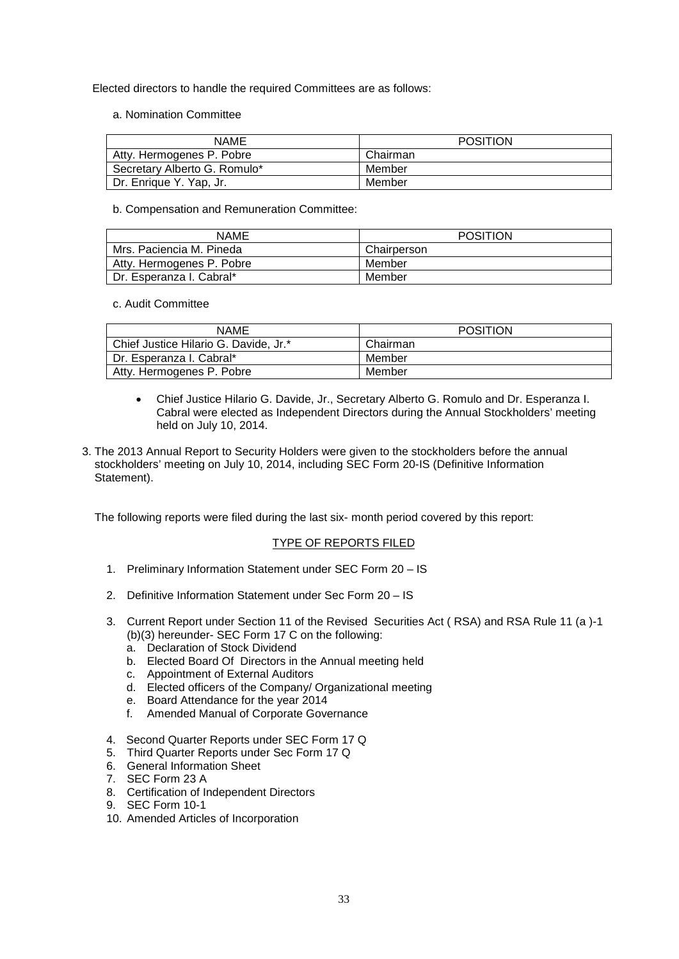Elected directors to handle the required Committees are as follows:

a. Nomination Committee

| <b>NAME</b>                  | POSITION |
|------------------------------|----------|
| Atty. Hermogenes P. Pobre    | Chairman |
| Secretary Alberto G. Romulo* | Member   |
| Dr. Enrique Y. Yap, Jr.      | Member   |

b. Compensation and Remuneration Committee:

| NAME                      | <b>POSITION</b> |
|---------------------------|-----------------|
| Mrs. Paciencia M. Pineda  | Chairperson     |
| Atty. Hermogenes P. Pobre | Member          |
| Dr. Esperanza I. Cabral*  | Member          |

c. Audit Committee

| <b>NAME</b>                           | <b>POSITION</b> |
|---------------------------------------|-----------------|
| Chief Justice Hilario G. Davide, Jr.* | Chairman        |
| Dr. Esperanza I. Cabral*              | Member          |
| Atty. Hermogenes P. Pobre             | Member          |

- Chief Justice Hilario G. Davide, Jr., Secretary Alberto G. Romulo and Dr. Esperanza I. Cabral were elected as Independent Directors during the Annual Stockholders' meeting held on July 10, 2014.
- 3. The 2013 Annual Report to Security Holders were given to the stockholders before the annual stockholders' meeting on July 10, 2014, including SEC Form 20-IS (Definitive Information Statement).

The following reports were filed during the last six- month period covered by this report:

## TYPE OF REPORTS FILED

- 1. Preliminary Information Statement under SEC Form 20 IS
- 2. Definitive Information Statement under Sec Form 20 IS
- 3. Current Report under Section 11 of the Revised Securities Act ( RSA) and RSA Rule 11 (a )-1 (b)(3) hereunder- SEC Form 17 C on the following:
	- a. Declaration of Stock Dividend
	- b. Elected Board Of Directors in the Annual meeting held
	- c. Appointment of External Auditors
	- d. Elected officers of the Company/ Organizational meeting
	- e. Board Attendance for the year 2014
	- f. Amended Manual of Corporate Governance
- 4. Second Quarter Reports under SEC Form 17 Q
- 5. Third Quarter Reports under Sec Form 17 Q
- 6. General Information Sheet
- 7. SEC Form 23 A
- 8. Certification of Independent Directors
- 9. SEC Form 10-1
- 10. Amended Articles of Incorporation